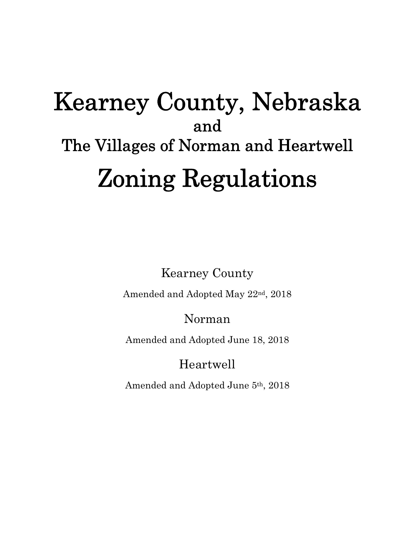# Kearney County, Nebraska and The Villages of Norman and Heartwell Zoning Regulations

Kearney County

Amended and Adopted May 22nd, 2018

# Norman

Amended and Adopted June 18, 2018

Heartwell

Amended and Adopted June 5th, 2018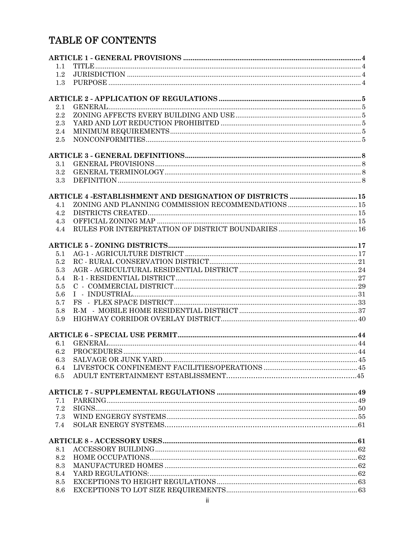# TABLE OF CONTENTS

| 1.1     |                                                           |  |
|---------|-----------------------------------------------------------|--|
| 1.2     |                                                           |  |
| 1.3     |                                                           |  |
|         |                                                           |  |
| 2.1     |                                                           |  |
| 2.2     |                                                           |  |
| 2.3     |                                                           |  |
| 2.4     |                                                           |  |
| 2.5     |                                                           |  |
|         |                                                           |  |
| 3.1     |                                                           |  |
| $3.2\,$ |                                                           |  |
| 3.3     |                                                           |  |
|         | ARTICLE 4 -ESTABLISHMENT AND DESIGNATION OF DISTRICTS  15 |  |
| 4.1     |                                                           |  |
| 4.2     |                                                           |  |
| 4.3     |                                                           |  |
| 4.4     |                                                           |  |
|         |                                                           |  |
|         |                                                           |  |
| 5.1     |                                                           |  |
| 5.2     |                                                           |  |
| 5.3     |                                                           |  |
| 5.4     |                                                           |  |
| 5.5     |                                                           |  |
| 5.6     |                                                           |  |
| 5.7     |                                                           |  |
| 5.8     |                                                           |  |
| 5.9     |                                                           |  |
|         |                                                           |  |
| 6.1     |                                                           |  |
| 6.2     |                                                           |  |
|         |                                                           |  |
| $6.4\,$ |                                                           |  |
| $6.5\,$ |                                                           |  |
|         |                                                           |  |
| 7.1     |                                                           |  |
| 7.2     |                                                           |  |
| 7.3     |                                                           |  |
| 7.4     |                                                           |  |
|         |                                                           |  |
| 8.1     |                                                           |  |
| 8.2     |                                                           |  |
| 8.3     |                                                           |  |
| 8.4     |                                                           |  |
| 8.5     |                                                           |  |
| 8.6     |                                                           |  |
|         | ii.                                                       |  |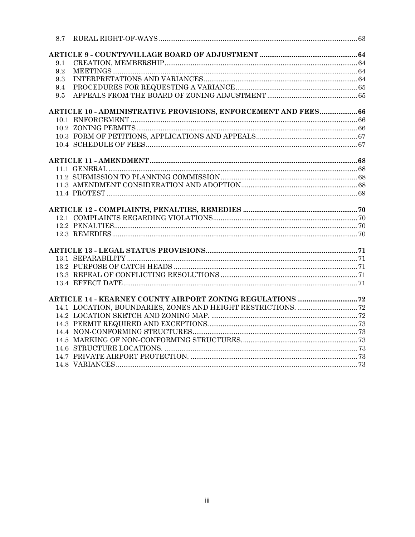| 8.7 |                                                                 |  |
|-----|-----------------------------------------------------------------|--|
|     |                                                                 |  |
| 9.1 |                                                                 |  |
| 9.2 |                                                                 |  |
| 9.3 |                                                                 |  |
| 9.4 |                                                                 |  |
| 9.5 |                                                                 |  |
|     | ARTICLE 10 - ADMINISTRATIVE PROVISIONS, ENFORCEMENT AND FEES 66 |  |
|     |                                                                 |  |
|     |                                                                 |  |
|     |                                                                 |  |
|     |                                                                 |  |
|     |                                                                 |  |
|     |                                                                 |  |
|     |                                                                 |  |
|     |                                                                 |  |
|     |                                                                 |  |
|     |                                                                 |  |
|     |                                                                 |  |
|     |                                                                 |  |
|     |                                                                 |  |
|     |                                                                 |  |
|     |                                                                 |  |
|     |                                                                 |  |
|     |                                                                 |  |
|     |                                                                 |  |
|     |                                                                 |  |
|     |                                                                 |  |
|     |                                                                 |  |
|     |                                                                 |  |
|     |                                                                 |  |
|     |                                                                 |  |
|     |                                                                 |  |
|     |                                                                 |  |
|     |                                                                 |  |
|     |                                                                 |  |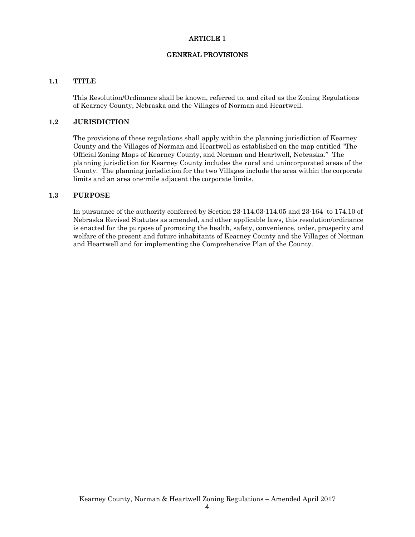#### ARTICLE 1

#### GENERAL PROVISIONS

#### **1.1 TITLE**

This Resolution/Ordinance shall be known, referred to, and cited as the Zoning Regulations of Kearney County, Nebraska and the Villages of Norman and Heartwell.

#### **1.2 JURISDICTION**

The provisions of these regulations shall apply within the planning jurisdiction of Kearney County and the Villages of Norman and Heartwell as established on the map entitled "The Official Zoning Maps of Kearney County, and Norman and Heartwell, Nebraska." The planning jurisdiction for Kearney County includes the rural and unincorporated areas of the County. The planning jurisdiction for the two Villages include the area within the corporate limits and an area one-mile adjacent the corporate limits.

#### **1.3 PURPOSE**

In pursuance of the authority conferred by Section 23-114.03-114.05 and 23-164 to 174.10 of Nebraska Revised Statutes as amended, and other applicable laws, this resolution/ordinance is enacted for the purpose of promoting the health, safety, convenience, order, prosperity and welfare of the present and future inhabitants of Kearney County and the Villages of Norman and Heartwell and for implementing the Comprehensive Plan of the County.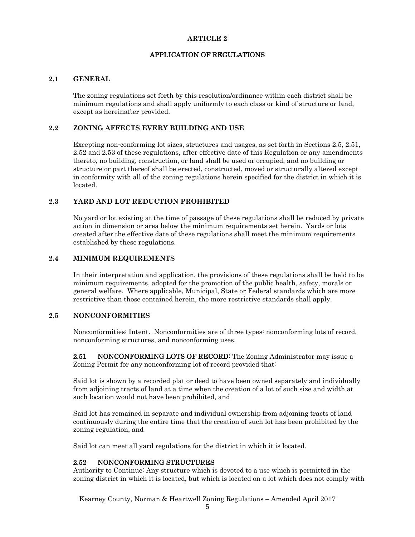#### **ARTICLE 2**

#### APPLICATION OF REGULATIONS

#### **2.1 GENERAL**

The zoning regulations set forth by this resolution/ordinance within each district shall be minimum regulations and shall apply uniformly to each class or kind of structure or land, except as hereinafter provided.

#### **2.2 ZONING AFFECTS EVERY BUILDING AND USE**

Excepting non-conforming lot sizes, structures and usages, as set forth in Sections 2.5, 2.51, 2.52 and 2.53 of these regulations, after effective date of this Regulation or any amendments thereto, no building, construction, or land shall be used or occupied, and no building or structure or part thereof shall be erected, constructed, moved or structurally altered except in conformity with all of the zoning regulations herein specified for the district in which it is located.

#### **2.3 YARD AND LOT REDUCTION PROHIBITED**

No yard or lot existing at the time of passage of these regulations shall be reduced by private action in dimension or area below the minimum requirements set herein. Yards or lots created after the effective date of these regulations shall meet the minimum requirements established by these regulations.

#### **2.4 MINIMUM REQUIREMENTS**

In their interpretation and application, the provisions of these regulations shall be held to be minimum requirements, adopted for the promotion of the public health, safety, morals or general welfare. Where applicable, Municipal, State or Federal standards which are more restrictive than those contained herein, the more restrictive standards shall apply.

#### **2.5 NONCONFORMITIES**

Nonconformities; Intent. Nonconformities are of three types: nonconforming lots of record, nonconforming structures, and nonconforming uses.

2.51 NONCONFORMING LOTS OF RECORD: The Zoning Administrator may issue a Zoning Permit for any nonconforming lot of record provided that:

Said lot is shown by a recorded plat or deed to have been owned separately and individually from adjoining tracts of land at a time when the creation of a lot of such size and width at such location would not have been prohibited, and

Said lot has remained in separate and individual ownership from adjoining tracts of land continuously during the entire time that the creation of such lot has been prohibited by the zoning regulation, and

Said lot can meet all yard regulations for the district in which it is located.

#### 2.52 NONCONFORMING STRUCTURES

Authority to Continue: Any structure which is devoted to a use which is permitted in the zoning district in which it is located, but which is located on a lot which does not comply with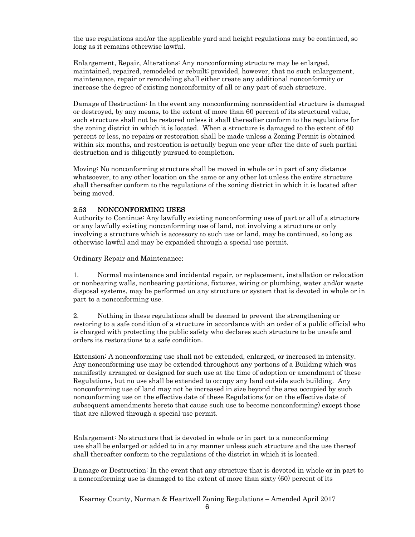the use regulations and/or the applicable yard and height regulations may be continued, so long as it remains otherwise lawful.

Enlargement, Repair, Alterations: Any nonconforming structure may be enlarged, maintained, repaired, remodeled or rebuilt; provided, however, that no such enlargement, maintenance, repair or remodeling shall either create any additional nonconformity or increase the degree of existing nonconformity of all or any part of such structure.

Damage of Destruction: In the event any nonconforming nonresidential structure is damaged or destroyed, by any means, to the extent of more than 60 percent of its structural value, such structure shall not be restored unless it shall thereafter conform to the regulations for the zoning district in which it is located. When a structure is damaged to the extent of 60 percent or less, no repairs or restoration shall be made unless a Zoning Permit is obtained within six months, and restoration is actually begun one year after the date of such partial destruction and is diligently pursued to completion.

Moving: No nonconforming structure shall be moved in whole or in part of any distance whatsoever, to any other location on the same or any other lot unless the entire structure shall thereafter conform to the regulations of the zoning district in which it is located after being moved.

#### 2.53 NONCONFORMING USES

Authority to Continue: Any lawfully existing nonconforming use of part or all of a structure or any lawfully existing nonconforming use of land, not involving a structure or only involving a structure which is accessory to such use or land, may be continued, so long as otherwise lawful and may be expanded through a special use permit.

Ordinary Repair and Maintenance:

1. Normal maintenance and incidental repair, or replacement, installation or relocation or nonbearing walls, nonbearing partitions, fixtures, wiring or plumbing, water and/or waste disposal systems, may be performed on any structure or system that is devoted in whole or in part to a nonconforming use.

2. Nothing in these regulations shall be deemed to prevent the strengthening or restoring to a safe condition of a structure in accordance with an order of a public official who is charged with protecting the public safety who declares such structure to be unsafe and orders its restorations to a safe condition.

Extension: A nonconforming use shall not be extended, enlarged, or increased in intensity. Any nonconforming use may be extended throughout any portions of a Building which was manifestly arranged or designed for such use at the time of adoption or amendment of these Regulations, but no use shall be extended to occupy any land outside such building. Any nonconforming use of land may not be increased in size beyond the area occupied by such nonconforming use on the effective date of these Regulations (or on the effective date of subsequent amendments hereto that cause such use to become nonconforming) except those that are allowed through a special use permit.

Enlargement: No structure that is devoted in whole or in part to a nonconforming use shall be enlarged or added to in any manner unless such structure and the use thereof shall thereafter conform to the regulations of the district in which it is located.

Damage or Destruction: In the event that any structure that is devoted in whole or in part to a nonconforming use is damaged to the extent of more than sixty (60) percent of its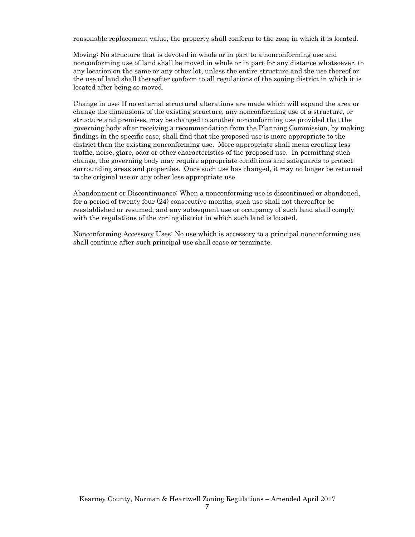reasonable replacement value, the property shall conform to the zone in which it is located.

Moving: No structure that is devoted in whole or in part to a nonconforming use and nonconforming use of land shall be moved in whole or in part for any distance whatsoever, to any location on the same or any other lot, unless the entire structure and the use thereof or the use of land shall thereafter conform to all regulations of the zoning district in which it is located after being so moved.

Change in use: If no external structural alterations are made which will expand the area or change the dimensions of the existing structure, any nonconforming use of a structure, or structure and premises, may be changed to another nonconforming use provided that the governing body after receiving a recommendation from the Planning Commission, by making findings in the specific case, shall find that the proposed use is more appropriate to the district than the existing nonconforming use. More appropriate shall mean creating less traffic, noise, glare, odor or other characteristics of the proposed use. In permitting such change, the governing body may require appropriate conditions and safeguards to protect surrounding areas and properties. Once such use has changed, it may no longer be returned to the original use or any other less appropriate use.

Abandonment or Discontinuance: When a nonconforming use is discontinued or abandoned, for a period of twenty four (24) consecutive months, such use shall not thereafter be reestablished or resumed, and any subsequent use or occupancy of such land shall comply with the regulations of the zoning district in which such land is located.

Nonconforming Accessory Uses: No use which is accessory to a principal nonconforming use shall continue after such principal use shall cease or terminate.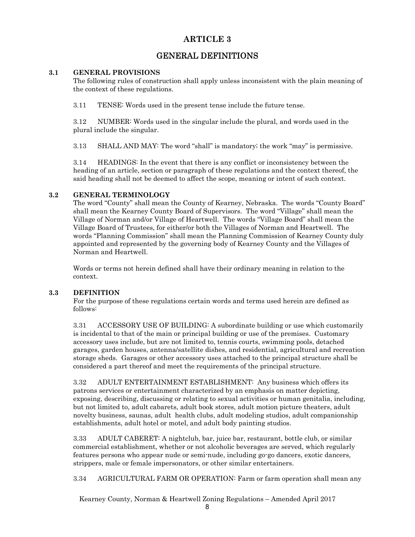## **ARTICLE 3**

# GENERAL DEFINITIONS

#### **3.1 GENERAL PROVISIONS**

The following rules of construction shall apply unless inconsistent with the plain meaning of the context of these regulations.

3.11 TENSE: Words used in the present tense include the future tense.

3.12 NUMBER: Words used in the singular include the plural, and words used in the plural include the singular.

3.13 SHALL AND MAY: The word "shall" is mandatory; the work "may" is permissive.

3.14 HEADINGS: In the event that there is any conflict or inconsistency between the heading of an article, section or paragraph of these regulations and the context thereof, the said heading shall not be deemed to affect the scope, meaning or intent of such context.

#### **3.2 GENERAL TERMINOLOGY**

The word "County" shall mean the County of Kearney, Nebraska. The words "County Board" shall mean the Kearney County Board of Supervisors. The word "Village" shall mean the Village of Norman and/or Village of Heartwell. The words "Village Board" shall mean the Village Board of Trustees, for either/or both the Villages of Norman and Heartwell. The words "Planning Commission" shall mean the Planning Commission of Kearney County duly appointed and represented by the governing body of Kearney County and the Villages of Norman and Heartwell.

Words or terms not herein defined shall have their ordinary meaning in relation to the context.

#### **3.3 DEFINITION**

For the purpose of these regulations certain words and terms used herein are defined as follows:

3.31 ACCESSORY USE OF BUILDING: A subordinate building or use which customarily is incidental to that of the main or principal building or use of the premises. Customary accessory uses include, but are not limited to, tennis courts, swimming pools, detached garages, garden houses, antenna/satellite dishes, and residential, agricultural and recreation storage sheds. Garages or other accessory uses attached to the principal structure shall be considered a part thereof and meet the requirements of the principal structure.

3.32 ADULT ENTERTAINMENT ESTABLISHMENT: Any business which offers its patrons services or entertainment characterized by an emphasis on matter depicting, exposing, describing, discussing or relating to sexual activities or human genitalia, including, but not limited to, adult cabarets, adult book stores, adult motion picture theaters, adult novelty business, saunas, adult health clubs, adult modeling studios, adult companionship establishments, adult hotel or motel, and adult body painting studios.

3.33 ADULT CABERET: A nightclub, bar, juice bar, restaurant, bottle club, or similar commercial establishment, whether or not alcoholic beverages are served, which regularly features persons who appear nude or semi-nude, including go-go dancers, exotic dancers, strippers, male or female impersonators, or other similar entertainers.

3.34 AGRICULTURAL FARM OR OPERATION: Farm or farm operation shall mean any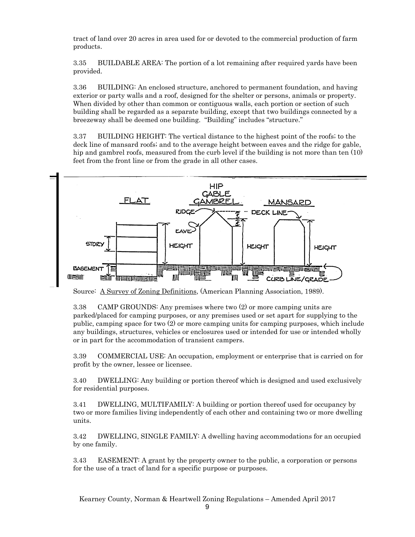tract of land over 20 acres in area used for or devoted to the commercial production of farm products.

3.35 BUILDABLE AREA: The portion of a lot remaining after required yards have been provided.

3.36 BUILDING: An enclosed structure, anchored to permanent foundation, and having exterior or party walls and a roof, designed for the shelter or persons, animals or property. When divided by other than common or contiguous walls, each portion or section of such building shall be regarded as a separate building, except that two buildings connected by a breezeway shall be deemed one building. "Building" includes "structure."

3.37 BUILDING HEIGHT: The vertical distance to the highest point of the roofs; to the deck line of mansard roofs; and to the average height between eaves and the ridge for gable, hip and gambrel roofs, measured from the curb level if the building is not more than ten (10) feet from the front line or from the grade in all other cases.



Source: A Survey of Zoning Definitions, (American Planning Association, 1989).

3.38 CAMP GROUNDS: Any premises where two (2) or more camping units are parked/placed for camping purposes, or any premises used or set apart for supplying to the public, camping space for two (2) or more camping units for camping purposes, which include any buildings, structures, vehicles or enclosures used or intended for use or intended wholly or in part for the accommodation of transient campers.

3.39 COMMERCIAL USE: An occupation, employment or enterprise that is carried on for profit by the owner, lessee or licensee.

3.40 DWELLING: Any building or portion thereof which is designed and used exclusively for residential purposes.

3.41 DWELLING, MULTIFAMILY: A building or portion thereof used for occupancy by two or more families living independently of each other and containing two or more dwelling units.

3.42 DWELLING, SINGLE FAMILY: A dwelling having accommodations for an occupied by one family.

3.43 EASEMENT: A grant by the property owner to the public, a corporation or persons for the use of a tract of land for a specific purpose or purposes.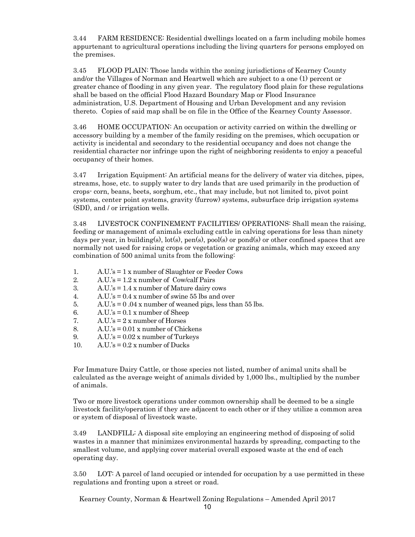3.44 FARM RESIDENCE: Residential dwellings located on a farm including mobile homes appurtenant to agricultural operations including the living quarters for persons employed on the premises.

3.45 FLOOD PLAIN: Those lands within the zoning jurisdictions of Kearney County and/or the Villages of Norman and Heartwell which are subject to a one (1) percent or greater chance of flooding in any given year. The regulatory flood plain for these regulations shall be based on the official Flood Hazard Boundary Map or Flood Insurance administration, U.S. Department of Housing and Urban Development and any revision thereto. Copies of said map shall be on file in the Office of the Kearney County Assessor.

3.46 HOME OCCUPATION: An occupation or activity carried on within the dwelling or accessory building by a member of the family residing on the premises, which occupation or activity is incidental and secondary to the residential occupancy and does not change the residential character nor infringe upon the right of neighboring residents to enjoy a peaceful occupancy of their homes.

3.47 Irrigation Equipment: An artificial means for the delivery of water via ditches, pipes, streams, hose, etc. to supply water to dry lands that are used primarily in the production of crops- corn, beans, beets, sorghum, etc., that may include, but not limited to, pivot point systems, center point systems, gravity (furrow) systems, subsurface drip irrigation systems (SDI), and / or irrigation wells.

3.48 LIVESTOCK CONFINEMENT FACILITIES/ OPERATIONS: Shall mean the raising, feeding or management of animals excluding cattle in calving operations for less than ninety days per year, in building(s),  $\text{lot}(s)$ ,  $\text{pen}(s)$ ,  $\text{pool}(s)$  or  $\text{pond}(s)$  or other confined spaces that are normally not used for raising crops or vegetation or grazing animals, which may exceed any combination of 500 animal units from the following:

- 1. A.U.'s = 1 x number of Slaughter or Feeder Cows
- 2. A.U.'s = 1.2 x number of Cow/calf Pairs
- 3. A.U.'s = 1.4 x number of Mature dairy cows
- 4. A.U.'s  $= 0.4$  x number of swine 55 lbs and over
- 5. A.U.'s  $= 0.04$  x number of weaned pigs, less than 55 lbs.
- 6. A.U.'s  $= 0.1$  x number of Sheep
- 7.  $A.U.'s = 2 x number of Horses$
- 8.  $A.U.'s = 0.01$  x number of Chickens
- 9.  $A.U.'s = 0.02x$  number of Turkeys
- 10.  $A.U.'s = 0.2 x$  number of Ducks

For Immature Dairy Cattle, or those species not listed, number of animal units shall be calculated as the average weight of animals divided by 1,000 lbs., multiplied by the number of animals.

Two or more livestock operations under common ownership shall be deemed to be a single livestock facility/operation if they are adjacent to each other or if they utilize a common area or system of disposal of livestock waste.

3.49 LANDFILL: A disposal site employing an engineering method of disposing of solid wastes in a manner that minimizes environmental hazards by spreading, compacting to the smallest volume, and applying cover material overall exposed waste at the end of each operating day.

3.50 LOT: A parcel of land occupied or intended for occupation by a use permitted in these regulations and fronting upon a street or road.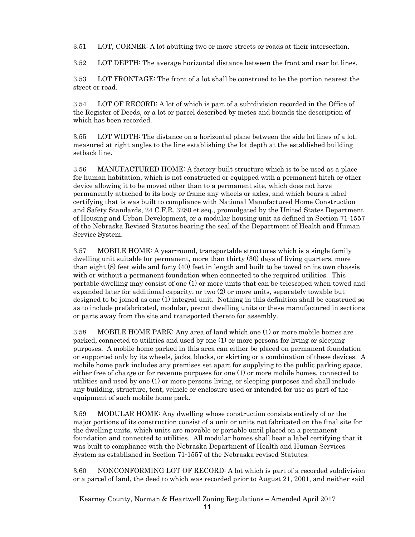3.51 LOT, CORNER: A lot abutting two or more streets or roads at their intersection.

3.52 LOT DEPTH: The average horizontal distance between the front and rear lot lines.

3.53 LOT FRONTAGE: The front of a lot shall be construed to be the portion nearest the street or road.

3.54 LOT OF RECORD: A lot of which is part of a sub-division recorded in the Office of the Register of Deeds, or a lot or parcel described by metes and bounds the description of which has been recorded.

3.55 LOT WIDTH: The distance on a horizontal plane between the side lot lines of a lot, measured at right angles to the line establishing the lot depth at the established building setback line.

3.56 MANUFACTURED HOME: A factory-built structure which is to be used as a place for human habitation, which is not constructed or equipped with a permanent hitch or other device allowing it to be moved other than to a permanent site, which does not have permanently attached to its body or frame any wheels or axles, and which bears a label certifying that is was built to compliance with National Manufactured Home Construction and Safety Standards, 24 C.F.R. 3280 et seq., promulgated by the United States Department of Housing and Urban Development, or a modular housing unit as defined in Section 71-1557 of the Nebraska Revised Statutes bearing the seal of the Department of Health and Human Service System.

3.57 MOBILE HOME: A year-round, transportable structures which is a single family dwelling unit suitable for permanent, more than thirty (30) days of living quarters, more than eight (8) feet wide and forty (40) feet in length and built to be towed on its own chassis with or without a permanent foundation when connected to the required utilities. This portable dwelling may consist of one (1) or more units that can be telescoped when towed and expanded later for additional capacity, or two (2) or more units, separately towable but designed to be joined as one (1) integral unit. Nothing in this definition shall be construed so as to include prefabricated, modular, precut dwelling units or these manufactured in sections or parts away from the site and transported thereto for assembly.

3.58 MOBILE HOME PARK: Any area of land which one (1) or more mobile homes are parked, connected to utilities and used by one (1) or more persons for living or sleeping purposes. A mobile home parked in this area can either be placed on permanent foundation or supported only by its wheels, jacks, blocks, or skirting or a combination of these devices. A mobile home park includes any premises set apart for supplying to the public parking space, either free of charge or for revenue purposes for one (1) or more mobile homes, connected to utilities and used by one (1) or more persons living, or sleeping purposes and shall include any building, structure, tent, vehicle or enclosure used or intended for use as part of the equipment of such mobile home park.

 3.59 MODULAR HOME: Any dwelling whose construction consists entirely of or the major portions of its construction consist of a unit or units not fabricated on the final site for the dwelling units, which units are movable or portable until placed on a permanent foundation and connected to utilities. All modular homes shall bear a label certifying that it was built to compliance with the Nebraska Department of Health and Human Services System as established in Section 71-1557 of the Nebraska revised Statutes.

3.60 NONCONFORMING LOT OF RECORD: A lot which is part of a recorded subdivision or a parcel of land, the deed to which was recorded prior to August 21, 2001, and neither said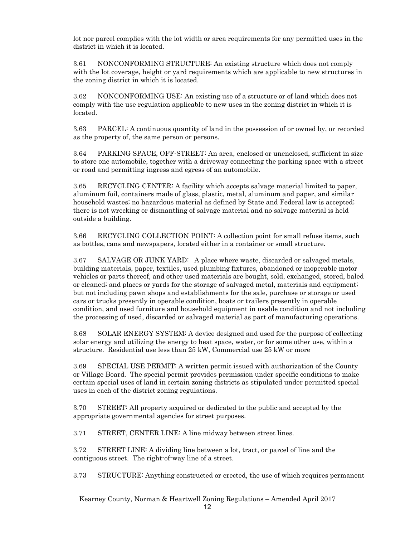lot nor parcel complies with the lot width or area requirements for any permitted uses in the district in which it is located.

3.61 NONCONFORMING STRUCTURE: An existing structure which does not comply with the lot coverage, height or yard requirements which are applicable to new structures in the zoning district in which it is located.

3.62 NONCONFORMING USE: An existing use of a structure or of land which does not comply with the use regulation applicable to new uses in the zoning district in which it is located.

3.63 PARCEL: A continuous quantity of land in the possession of or owned by, or recorded as the property of, the same person or persons.

3.64 PARKING SPACE, OFF-STREET: An area, enclosed or unenclosed, sufficient in size to store one automobile, together with a driveway connecting the parking space with a street or road and permitting ingress and egress of an automobile.

3.65 RECYCLING CENTER: A facility which accepts salvage material limited to paper, aluminum foil, containers made of glass, plastic, metal, aluminum and paper, and similar household wastes; no hazardous material as defined by State and Federal law is accepted; there is not wrecking or dismantling of salvage material and no salvage material is held outside a building.

3.66 RECYCLING COLLECTION POINT: A collection point for small refuse items, such as bottles, cans and newspapers, located either in a container or small structure.

3.67 SALVAGE OR JUNK YARD: A place where waste, discarded or salvaged metals, building materials, paper, textiles, used plumbing fixtures, abandoned or inoperable motor vehicles or parts thereof, and other used materials are bought, sold, exchanged, stored, baled or cleaned; and places or yards for the storage of salvaged metal, materials and equipment; but not including pawn shops and establishments for the sale, purchase or storage or used cars or trucks presently in operable condition, boats or trailers presently in operable condition, and used furniture and household equipment in usable condition and not including the processing of used, discarded or salvaged material as part of manufacturing operations.

3.68 SOLAR ENERGY SYSTEM: A device designed and used for the purpose of collecting solar energy and utilizing the energy to heat space, water, or for some other use, within a structure. Residential use less than 25 kW, Commercial use 25 kW or more

3.69 SPECIAL USE PERMIT: A written permit issued with authorization of the County or Village Board. The special permit provides permission under specific conditions to make certain special uses of land in certain zoning districts as stipulated under permitted special uses in each of the district zoning regulations.

3.70 STREET: All property acquired or dedicated to the public and accepted by the appropriate governmental agencies for street purposes.

3.71 STREET, CENTER LINE: A line midway between street lines.

3.72 STREET LINE: A dividing line between a lot, tract, or parcel of line and the contiguous street. The right-of-way line of a street.

3.73 STRUCTURE: Anything constructed or erected, the use of which requires permanent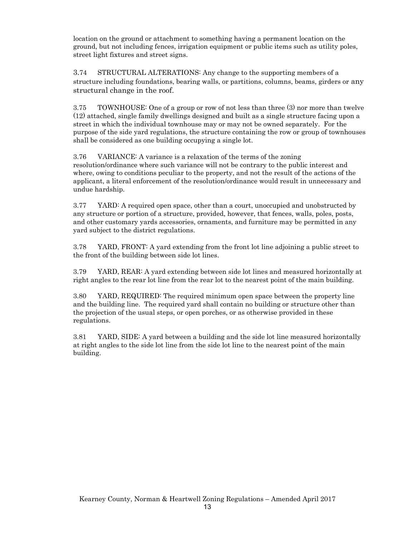location on the ground or attachment to something having a permanent location on the ground, but not including fences, irrigation equipment or public items such as utility poles, street light fixtures and street signs.

3.74 STRUCTURAL ALTERATIONS: Any change to the supporting members of a structure including foundations, bearing walls, or partitions, columns, beams, girders or any structural change in the roof.

3.75 TOWNHOUSE: One of a group or row of not less than three (3) nor more than twelve (12) attached, single family dwellings designed and built as a single structure facing upon a street in which the individual townhouse may or may not be owned separately. For the purpose of the side yard regulations, the structure containing the row or group of townhouses shall be considered as one building occupying a single lot.

3.76 VARIANCE: A variance is a relaxation of the terms of the zoning resolution/ordinance where such variance will not be contrary to the public interest and where, owing to conditions peculiar to the property, and not the result of the actions of the applicant, a literal enforcement of the resolution/ordinance would result in unnecessary and undue hardship.

3.77 YARD: A required open space, other than a court, unoccupied and unobstructed by any structure or portion of a structure, provided, however, that fences, walls, poles, posts, and other customary yards accessories, ornaments, and furniture may be permitted in any yard subject to the district regulations.

3.78 YARD, FRONT: A yard extending from the front lot line adjoining a public street to the front of the building between side lot lines.

3.79 YARD, REAR: A yard extending between side lot lines and measured horizontally at right angles to the rear lot line from the rear lot to the nearest point of the main building.

3.80 YARD, REQUIRED: The required minimum open space between the property line and the building line. The required yard shall contain no building or structure other than the projection of the usual steps, or open porches, or as otherwise provided in these regulations.

3.81 YARD, SIDE: A yard between a building and the side lot line measured horizontally at right angles to the side lot line from the side lot line to the nearest point of the main building.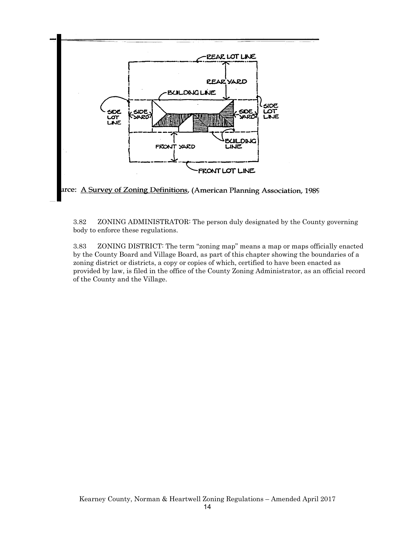

3.82 ZONING ADMINISTRATOR: The person duly designated by the County governing body to enforce these regulations.

3.83 ZONING DISTRICT: The term "zoning map" means a map or maps officially enacted by the County Board and Village Board, as part of this chapter showing the boundaries of a zoning district or districts, a copy or copies of which, certified to have been enacted as provided by law, is filed in the office of the County Zoning Administrator, as an official record of the County and the Village.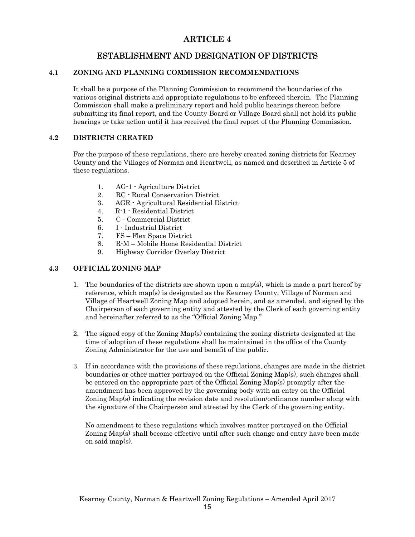## **ARTICLE 4**

# ESTABLISHMENT AND DESIGNATION OF DISTRICTS

#### **4.1 ZONING AND PLANNING COMMISSION RECOMMENDATIONS**

It shall be a purpose of the Planning Commission to recommend the boundaries of the various original districts and appropriate regulations to be enforced therein. The Planning Commission shall make a preliminary report and hold public hearings thereon before submitting its final report, and the County Board or Village Board shall not hold its public hearings or take action until it has received the final report of the Planning Commission.

#### **4.2 DISTRICTS CREATED**

For the purpose of these regulations, there are hereby created zoning districts for Kearney County and the Villages of Norman and Heartwell, as named and described in Article 5 of these regulations.

- 1. AG-1 Agriculture District
- 2. RC Rural Conservation District
- 3. AGR Agricultural Residential District
- 4. R-1 Residential District
- 5. C Commercial District
- 6. I Industrial District
- 7. FS Flex Space District
- 8. R-M Mobile Home Residential District
- 9. Highway Corridor Overlay District

#### **4.3 OFFICIAL ZONING MAP**

- 1. The boundaries of the districts are shown upon a map(s), which is made a part hereof by reference, which map(s) is designated as the Kearney County, Village of Norman and Village of Heartwell Zoning Map and adopted herein, and as amended, and signed by the Chairperson of each governing entity and attested by the Clerk of each governing entity and hereinafter referred to as the "Official Zoning Map."
- 2. The signed copy of the Zoning Map(s) containing the zoning districts designated at the time of adoption of these regulations shall be maintained in the office of the County Zoning Administrator for the use and benefit of the public.
- 3. If in accordance with the provisions of these regulations, changes are made in the district boundaries or other matter portrayed on the Official Zoning Map(s), such changes shall be entered on the appropriate part of the Official Zoning Map(s) promptly after the amendment has been approved by the governing body with an entry on the Official Zoning Map(s) indicating the revision date and resolution/ordinance number along with the signature of the Chairperson and attested by the Clerk of the governing entity.

No amendment to these regulations which involves matter portrayed on the Official Zoning Map(s) shall become effective until after such change and entry have been made on said map(s).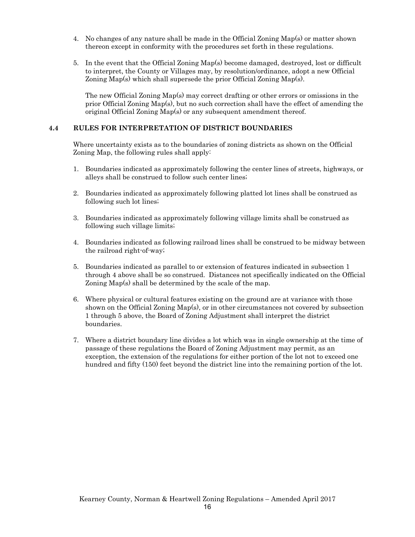- 4. No changes of any nature shall be made in the Official Zoning Map(s) or matter shown thereon except in conformity with the procedures set forth in these regulations.
- 5. In the event that the Official Zoning Map(s) become damaged, destroyed, lost or difficult to interpret, the County or Villages may, by resolution/ordinance, adopt a new Official Zoning Map(s) which shall supersede the prior Official Zoning Map(s).

The new Official Zoning Map(s) may correct drafting or other errors or omissions in the prior Official Zoning Map(s), but no such correction shall have the effect of amending the original Official Zoning Map(s) or any subsequent amendment thereof.

#### **4.4 RULES FOR INTERPRETATION OF DISTRICT BOUNDARIES**

Where uncertainty exists as to the boundaries of zoning districts as shown on the Official Zoning Map, the following rules shall apply:

- 1. Boundaries indicated as approximately following the center lines of streets, highways, or alleys shall be construed to follow such center lines;
- 2. Boundaries indicated as approximately following platted lot lines shall be construed as following such lot lines;
- 3. Boundaries indicated as approximately following village limits shall be construed as following such village limits;
- 4. Boundaries indicated as following railroad lines shall be construed to be midway between the railroad right-of-way;
- 5. Boundaries indicated as parallel to or extension of features indicated in subsection 1 through 4 above shall be so construed. Distances not specifically indicated on the Official Zoning Map(s) shall be determined by the scale of the map.
- 6. Where physical or cultural features existing on the ground are at variance with those shown on the Official Zoning Map(s), or in other circumstances not covered by subsection 1 through 5 above, the Board of Zoning Adjustment shall interpret the district boundaries.
- 7. Where a district boundary line divides a lot which was in single ownership at the time of passage of these regulations the Board of Zoning Adjustment may permit, as an exception, the extension of the regulations for either portion of the lot not to exceed one hundred and fifty (150) feet beyond the district line into the remaining portion of the lot.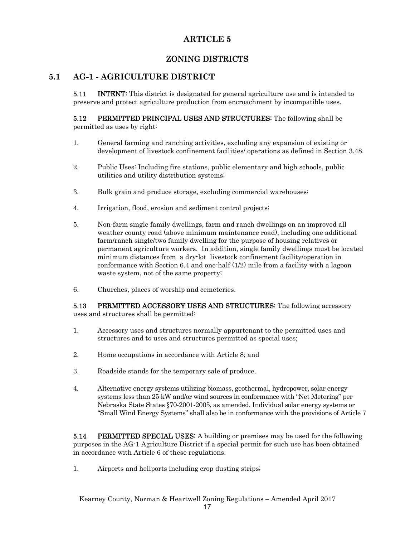# **ARTICLE 5**

# ZONING DISTRICTS

## **5.1 AG-1 - AGRICULTURE DISTRICT**

**5.11** INTENT: This district is designated for general agriculture use and is intended to preserve and protect agriculture production from encroachment by incompatible uses.

**5.12** PERMITTED PRINCIPAL USES AND STRUCTURES: The following shall be permitted as uses by right:

- 1. General farming and ranching activities, excluding any expansion of existing or development of livestock confinement facilities/ operations as defined in Section 3.48.
- 2. Public Uses: Including fire stations, public elementary and high schools, public utilities and utility distribution systems;
- 3. Bulk grain and produce storage, excluding commercial warehouses;
- 4. Irrigation, flood, erosion and sediment control projects;
- 5. Non-farm single family dwellings, farm and ranch dwellings on an improved all weather county road (above minimum maintenance road), including one additional farm/ranch single/two family dwelling for the purpose of housing relatives or permanent agriculture workers. In addition, single family dwellings must be located minimum distances from a dry-lot livestock confinement facility/operation in conformance with Section 6.4 and one-half (1/2) mile from a facility with a lagoon waste system, not of the same property;
- 6. Churches, places of worship and cemeteries.

5.13 PERMITTED ACCESSORY USES AND STRUCTURES: The following accessory uses and structures shall be permitted:

- 1. Accessory uses and structures normally appurtenant to the permitted uses and structures and to uses and structures permitted as special uses;
- 2. Home occupations in accordance with Article 8; and
- 3. Roadside stands for the temporary sale of produce.
- 4. Alternative energy systems utilizing biomass, geothermal, hydropower, solar energy systems less than 25 kW and/or wind sources in conformance with "Net Metering" per Nebraska State States §70-2001-2005, as amended. Individual solar energy systems or "Small Wind Energy Systems" shall also be in conformance with the provisions of Article 7

**5.14** PERMITTED SPECIAL USES: A building or premises may be used for the following purposes in the AG-1 Agriculture District if a special permit for such use has been obtained in accordance with Article 6 of these regulations.

1. Airports and heliports including crop dusting strips;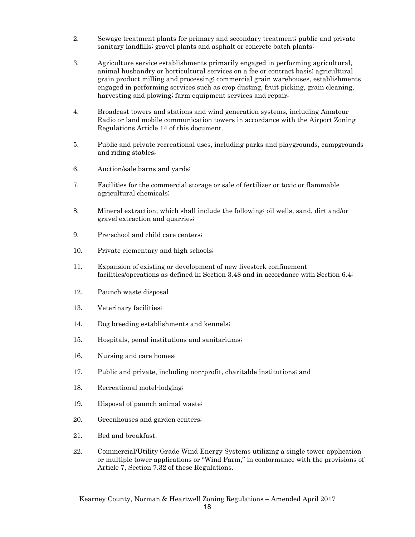- 2. Sewage treatment plants for primary and secondary treatment; public and private sanitary landfills; gravel plants and asphalt or concrete batch plants;
- 3. Agriculture service establishments primarily engaged in performing agricultural, animal husbandry or horticultural services on a fee or contract basis; agricultural grain product milling and processing; commercial grain warehouses, establishments engaged in performing services such as crop dusting, fruit picking, grain cleaning, harvesting and plowing; farm equipment services and repair;
- 4. Broadcast towers and stations and wind generation systems, including Amateur Radio or land mobile communication towers in accordance with the Airport Zoning Regulations Article 14 of this document.
- 5. Public and private recreational uses, including parks and playgrounds, campgrounds and riding stables;
- 6. Auction/sale barns and yards;
- 7. Facilities for the commercial storage or sale of fertilizer or toxic or flammable agricultural chemicals;
- 8. Mineral extraction, which shall include the following: oil wells, sand, dirt and/or gravel extraction and quarries;
- 9. Pre-school and child care centers;
- 10. Private elementary and high schools;
- 11. Expansion of existing or development of new livestock confinement facilities/operations as defined in Section 3.48 and in accordance with Section 6.4;
- 12. Paunch waste disposal
- 13. Veterinary facilities;
- 14. Dog breeding establishments and kennels;
- 15. Hospitals, penal institutions and sanitariums;
- 16. Nursing and care homes;
- 17. Public and private, including non-profit, charitable institutions; and
- 18. Recreational motel-lodging;
- 19. Disposal of paunch animal waste;
- 20. Greenhouses and garden centers;
- 21. Bed and breakfast.
- 22. Commercial/Utility Grade Wind Energy Systems utilizing a single tower application or multiple tower applications or "Wind Farm," in conformance with the provisions of Article 7, Section 7.32 of these Regulations.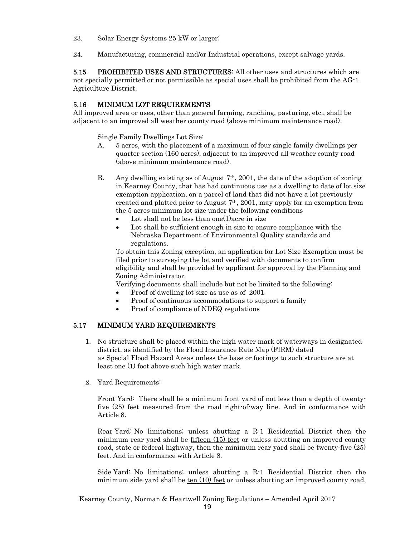- 23. Solar Energy Systems 25 kW or larger;
- 24. Manufacturing, commercial and/or Industrial operations, except salvage yards.

5.15 PROHIBITED USES AND STRUCTURES: All other uses and structures which are not specially permitted or not permissible as special uses shall be prohibited from the AG-1 Agriculture District.

#### 5.16 MINIMUM LOT REQUIREMENTS

All improved area or uses, other than general farming, ranching, pasturing, etc., shall be adjacent to an improved all weather county road (above minimum maintenance road).

Single Family Dwellings Lot Size:

- A. 5 acres, with the placement of a maximum of four single family dwellings per quarter section (160 acres), adjacent to an improved all weather county road (above minimum maintenance road).
- B. Any dwelling existing as of August 7th, 2001, the date of the adoption of zoning in Kearney County, that has had continuous use as a dwelling to date of lot size exemption application, on a parcel of land that did not have a lot previously created and platted prior to August 7th, 2001, may apply for an exemption from the 5 acres minimum lot size under the following conditions
	- Lot shall not be less than one(1) acre in size
	- Lot shall be sufficient enough in size to ensure compliance with the Nebraska Department of Environmental Quality standards and regulations.

 To obtain this Zoning exception, an application for Lot Size Exemption must be filed prior to surveying the lot and verified with documents to confirm eligibility and shall be provided by applicant for approval by the Planning and Zoning Administrator.

Verifying documents shall include but not be limited to the following:

- Proof of dwelling lot size as use as of 2001
- Proof of continuous accommodations to support a family
- Proof of compliance of NDEQ regulations

#### 5.17 MINIMUM YARD REQUIREMENTS

- 1. No structure shall be placed within the high water mark of waterways in designated district, as identified by the Flood Insurance Rate Map (FIRM) dated as Special Flood Hazard Areas unless the base or footings to such structure are at least one (1) foot above such high water mark.
- 2. Yard Requirements:

Front Yard: There shall be a minimum front yard of not less than a depth of twentyfive (25) feet measured from the road right-of-way line. And in conformance with Article 8.

 Rear Yard: No limitations; unless abutting a R-1 Residential District then the minimum rear yard shall be  $fifteen (15) feet$  or unless abutting an improved county road, state or federal highway, then the minimum rear yard shall be <u>twenty-five  $(25)$ </u> feet. And in conformance with Article 8.

 Side Yard: No limitations; unless abutting a R-1 Residential District then the minimum side yard shall be  $ten (10) feet or unless abutting an improved county road,$ </u>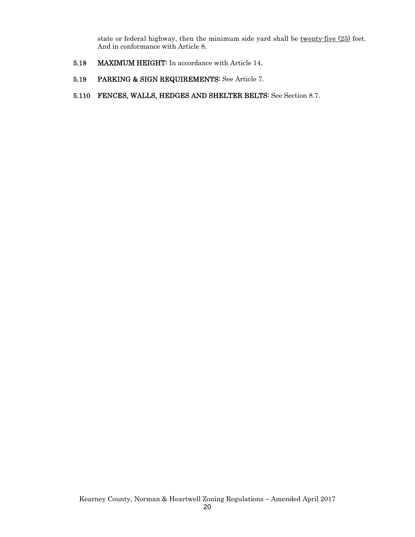state or federal highway, then the minimum side yard shall be twenty-five (25) feet. And in conformance with Article 8.

- 5.18 MAXIMUM HEIGHT: In accordance with Article 14.
- 5.19 PARKING & SIGN REQUIREMENTS: See Article 7.
- 5.110 FENCES, WALLS, HEDGES AND SHELTER BELTS: See Section 8.7.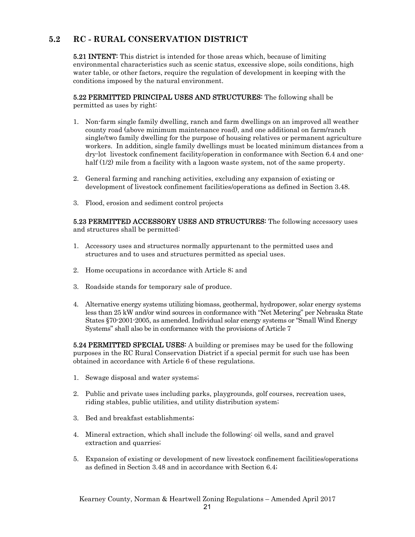# **5.2 RC - RURAL CONSERVATION DISTRICT**

5.21 INTENT: This district is intended for those areas which, because of limiting environmental characteristics such as scenic status, excessive slope, soils conditions, high water table, or other factors, require the regulation of development in keeping with the conditions imposed by the natural environment.

5.22 PERMITTED PRINCIPAL USES AND STRUCTURES: The following shall be permitted as uses by right:

- 1. Non-farm single family dwelling, ranch and farm dwellings on an improved all weather county road (above minimum maintenance road), and one additional on farm/ranch single/two family dwelling for the purpose of housing relatives or permanent agriculture workers. In addition, single family dwellings must be located minimum distances from a dry-lot livestock confinement facility/operation in conformance with Section 6.4 and onehalf (1/2) mile from a facility with a lagoon waste system, not of the same property.
- 2. General farming and ranching activities, excluding any expansion of existing or development of livestock confinement facilities/operations as defined in Section 3.48.
- 3. Flood, erosion and sediment control projects

5.23 PERMITTED ACCESSORY USES AND STRUCTURES: The following accessory uses and structures shall be permitted:

- 1. Accessory uses and structures normally appurtenant to the permitted uses and structures and to uses and structures permitted as special uses.
- 2. Home occupations in accordance with Article 8; and
- 3. Roadside stands for temporary sale of produce.
- 4. Alternative energy systems utilizing biomass, geothermal, hydropower, solar energy systems less than 25 kW and/or wind sources in conformance with "Net Metering" per Nebraska State States §70-2001-2005, as amended. Individual solar energy systems or "Small Wind Energy Systems" shall also be in conformance with the provisions of Article 7

5.24 PERMITTED SPECIAL USES: A building or premises may be used for the following purposes in the RC Rural Conservation District if a special permit for such use has been obtained in accordance with Article 6 of these regulations.

- 1. Sewage disposal and water systems;
- 2. Public and private uses including parks, playgrounds, golf courses, recreation uses, riding stables, public utilities, and utility distribution system;
- 3. Bed and breakfast establishments;
- 4. Mineral extraction, which shall include the following: oil wells, sand and gravel extraction and quarries;
- 5. Expansion of existing or development of new livestock confinement facilities/operations as defined in Section 3.48 and in accordance with Section 6.4;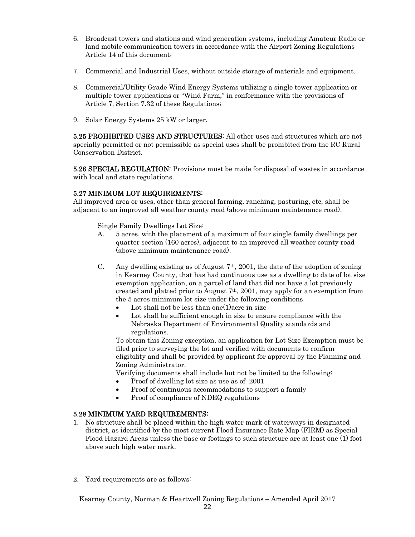- 6. Broadcast towers and stations and wind generation systems, including Amateur Radio or land mobile communication towers in accordance with the Airport Zoning Regulations Article 14 of this document;
- 7. Commercial and Industrial Uses, without outside storage of materials and equipment.
- 8. Commercial/Utility Grade Wind Energy Systems utilizing a single tower application or multiple tower applications or "Wind Farm," in conformance with the provisions of Article 7, Section 7.32 of these Regulations;
- 9. Solar Energy Systems 25 kW or larger.

5.25 PROHIBITED USES AND STRUCTURES: All other uses and structures which are not specially permitted or not permissible as special uses shall be prohibited from the RC Rural Conservation District.

5.26 SPECIAL REGULATION: Provisions must be made for disposal of wastes in accordance with local and state regulations.

#### 5.27 MINIMUM LOT REQUIREMENTS:

All improved area or uses, other than general farming, ranching, pasturing, etc, shall be adjacent to an improved all weather county road (above minimum maintenance road).

Single Family Dwellings Lot Size:

- A. 5 acres, with the placement of a maximum of four single family dwellings per quarter section (160 acres), adjacent to an improved all weather county road (above minimum maintenance road).
- C. Any dwelling existing as of August  $7<sup>th</sup>$ , 2001, the date of the adoption of zoning in Kearney County, that has had continuous use as a dwelling to date of lot size exemption application, on a parcel of land that did not have a lot previously created and platted prior to August  $7<sup>th</sup>$ , 2001, may apply for an exemption from the 5 acres minimum lot size under the following conditions
	- Lot shall not be less than one(1) acre in size
	- Lot shall be sufficient enough in size to ensure compliance with the Nebraska Department of Environmental Quality standards and regulations.

 To obtain this Zoning exception, an application for Lot Size Exemption must be filed prior to surveying the lot and verified with documents to confirm eligibility and shall be provided by applicant for approval by the Planning and Zoning Administrator.

Verifying documents shall include but not be limited to the following:

- Proof of dwelling lot size as use as of 2001
- Proof of continuous accommodations to support a family
- Proof of compliance of NDEQ regulations

#### 5.28 MINIMUM YARD REQUIREMENTS:

- 1. No structure shall be placed within the high water mark of waterways in designated district, as identified by the most current Flood Insurance Rate Map (FIRM) as Special Flood Hazard Areas unless the base or footings to such structure are at least one (1) foot above such high water mark.
- 2. Yard requirements are as follows: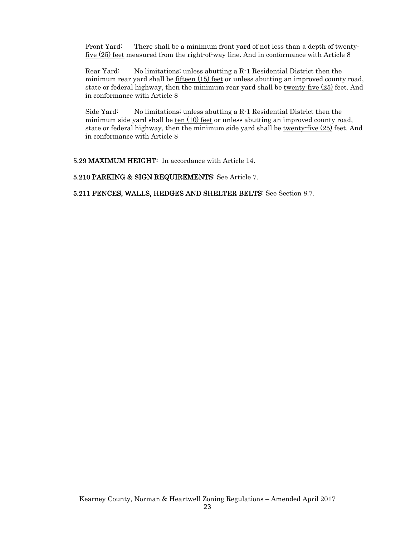Front Yard: There shall be a minimum front yard of not less than a depth of twentyfive (25) feet measured from the right-of-way line. And in conformance with Article 8

 Rear Yard: No limitations; unless abutting a R-1 Residential District then the minimum rear yard shall be fifteen  $(15)$  feet or unless abutting an improved county road, state or federal highway, then the minimum rear yard shall be twenty-five (25) feet. And in conformance with Article 8

 Side Yard: No limitations; unless abutting a R-1 Residential District then the minimum side yard shall be ten (10) feet or unless abutting an improved county road, state or federal highway, then the minimum side yard shall be twenty-five (25) feet. And in conformance with Article 8

5.29 MAXIMUM HEIGHT: In accordance with Article 14.

5.210 PARKING & SIGN REQUIREMENTS: See Article 7.

5.211 FENCES, WALLS, HEDGES AND SHELTER BELTS: See Section 8.7.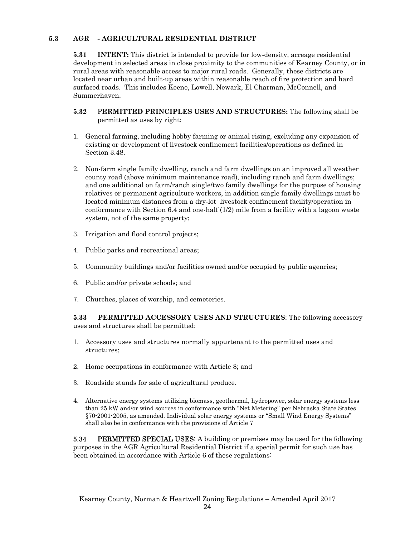#### **5.3 AGR - AGRICULTURAL RESIDENTIAL DISTRICT**

**5.31** INTENT: This district is intended to provide for low-density, acreage residential development in selected areas in close proximity to the communities of Kearney County, or in rural areas with reasonable access to major rural roads. Generally, these districts are located near urban and built-up areas within reasonable reach of fire protection and hard surfaced roads. This includes Keene, Lowell, Newark, El Charman, McConnell, and Summerhaven.

- **5.32** P**ERMITTED PRINCIPLES USES AND STRUCTURES:** The following shall be permitted as uses by right:
- 1. General farming, including hobby farming or animal rising, excluding any expansion of existing or development of livestock confinement facilities/operations as defined in Section 3.48.
- 2. Non-farm single family dwelling, ranch and farm dwellings on an improved all weather county road (above minimum maintenance road), including ranch and farm dwellings; and one additional on farm/ranch single/two family dwellings for the purpose of housing relatives or permanent agriculture workers, in addition single family dwellings must be located minimum distances from a dry-lot livestock confinement facility/operation in conformance with Section 6.4 and one-half (1/2) mile from a facility with a lagoon waste system, not of the same property;
- 3. Irrigation and flood control projects;
- 4. Public parks and recreational areas;
- 5. Community buildings and/or facilities owned and/or occupied by public agencies;
- 6. Public and/or private schools; and
- 7. Churches, places of worship, and cemeteries.

**5.33 PERMITTED ACCESSORY USES AND STRUCTURES**: The following accessory uses and structures shall be permitted:

- 1. Accessory uses and structures normally appurtenant to the permitted uses and structures;
- 2. Home occupations in conformance with Article 8; and
- 3. Roadside stands for sale of agricultural produce.
- 4. Alternative energy systems utilizing biomass, geothermal, hydropower, solar energy systems less than 25 kW and/or wind sources in conformance with "Net Metering" per Nebraska State States §70-2001-2005, as amended. Individual solar energy systems or "Small Wind Energy Systems" shall also be in conformance with the provisions of Article 7

**5.34** PERMITTED SPECIAL USES: A building or premises may be used for the following purposes in the AGR Agricultural Residential District if a special permit for such use has been obtained in accordance with Article 6 of these regulations: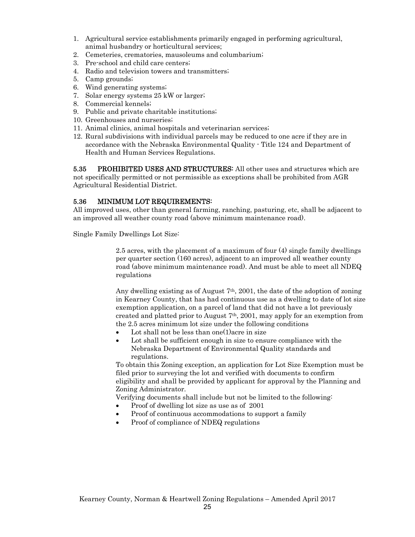- 1. Agricultural service establishments primarily engaged in performing agricultural, animal husbandry or horticultural services;
- 2. Cemeteries, crematories, mausoleums and columbarium;
- 3. Pre-school and child care centers;
- 4. Radio and television towers and transmitters;
- 5. Camp grounds;
- 6. Wind generating systems;
- 7. Solar energy systems 25 kW or larger;
- 8. Commercial kennels;
- 9. Public and private charitable institutions;
- 10. Greenhouses and nurseries;
- 11. Animal clinics, animal hospitals and veterinarian services;
- 12. Rural subdivisions with individual parcels may be reduced to one acre if they are in accordance with the Nebraska Environmental Quality - Title 124 and Department of Health and Human Services Regulations.

**5.35 PROHIBITED USES AND STRUCTURES:** All other uses and structures which are not specifically permitted or not permissible as exceptions shall be prohibited from AGR Agricultural Residential District.

#### 5.36 MINIMUM LOT REQUIREMENTS:

All improved uses, other than general farming, ranching, pasturing, etc, shall be adjacent to an improved all weather county road (above minimum maintenance road).

Single Family Dwellings Lot Size:

 2.5 acres, with the placement of a maximum of four (4) single family dwellings per quarter section (160 acres), adjacent to an improved all weather county road (above minimum maintenance road). And must be able to meet all NDEQ regulations

Any dwelling existing as of August 7th, 2001, the date of the adoption of zoning in Kearney County, that has had continuous use as a dwelling to date of lot size exemption application, on a parcel of land that did not have a lot previously created and platted prior to August  $7<sup>th</sup>$ , 2001, may apply for an exemption from the 2.5 acres minimum lot size under the following conditions

- Lot shall not be less than one(1) acre in size
- Lot shall be sufficient enough in size to ensure compliance with the Nebraska Department of Environmental Quality standards and regulations.

 To obtain this Zoning exception, an application for Lot Size Exemption must be filed prior to surveying the lot and verified with documents to confirm eligibility and shall be provided by applicant for approval by the Planning and Zoning Administrator.

Verifying documents shall include but not be limited to the following:

- Proof of dwelling lot size as use as of 2001
- Proof of continuous accommodations to support a family
- Proof of compliance of NDEQ regulations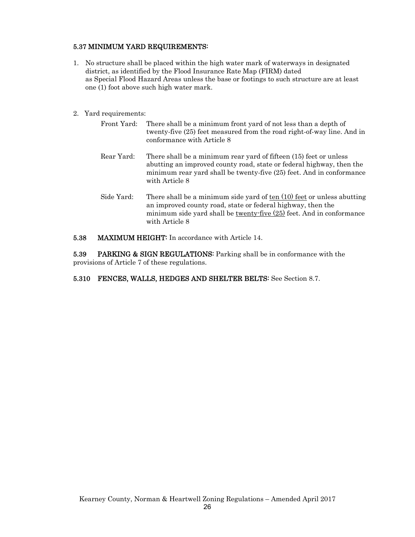#### 5.37 MINIMUM YARD REQUIREMENTS:

- 1. No structure shall be placed within the high water mark of waterways in designated district, as identified by the Flood Insurance Rate Map (FIRM) dated as Special Flood Hazard Areas unless the base or footings to such structure are at least one (1) foot above such high water mark.
- 2. Yard requirements:
	- Front Yard: There shall be a minimum front yard of not less than a depth of twenty-five (25) feet measured from the road right-of-way line. And in conformance with Article 8
	- Rear Yard: There shall be a minimum rear yard of fifteen (15) feet or unless abutting an improved county road, state or federal highway, then the minimum rear yard shall be twenty-five (25) feet. And in conformance with Article 8
	- Side Yard: There shall be a minimum side yard of ten (10) feet or unless abutting an improved county road, state or federal highway, then the minimum side yard shall be twenty-five (25) feet. And in conformance with Article 8
- 5.38 MAXIMUM HEIGHT: In accordance with Article 14.

**5.39** PARKING & SIGN REGULATIONS: Parking shall be in conformance with the provisions of Article 7 of these regulations.

5.310 FENCES, WALLS, HEDGES AND SHELTER BELTS: See Section 8.7.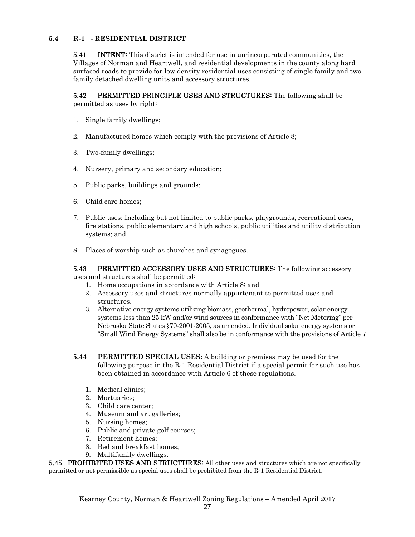#### **5.4 R-1 - RESIDENTIAL DISTRICT**

**5.41** INTENT: This district is intended for use in un-incorporated communities, the Villages of Norman and Heartwell, and residential developments in the county along hard surfaced roads to provide for low density residential uses consisting of single family and twofamily detached dwelling units and accessory structures.

**5.42** PERMITTED PRINCIPLE USES AND STRUCTURES: The following shall be permitted as uses by right:

- 1. Single family dwellings;
- 2. Manufactured homes which comply with the provisions of Article 8;
- 3. Two-family dwellings;
- 4. Nursery, primary and secondary education;
- 5. Public parks, buildings and grounds;
- 6. Child care homes;
- 7. Public uses: Including but not limited to public parks, playgrounds, recreational uses, fire stations, public elementary and high schools, public utilities and utility distribution systems; and
- 8. Places of worship such as churches and synagogues.

#### **5.43** PERMITTED ACCESSORY USES AND STRUCTURES: The following accessory uses and structures shall be permitted:

1. Home occupations in accordance with Article 8; and

- 2. Accessory uses and structures normally appurtenant to permitted uses and structures.
- 3. Alternative energy systems utilizing biomass, geothermal, hydropower, solar energy systems less than 25 kW and/or wind sources in conformance with "Net Metering" per Nebraska State States §70-2001-2005, as amended. Individual solar energy systems or "Small Wind Energy Systems" shall also be in conformance with the provisions of Article 7
- **5.44 PERMITTED SPECIAL USES:** A building or premises may be used for the following purpose in the R-1 Residential District if a special permit for such use has been obtained in accordance with Article 6 of these regulations.
	- 1. Medical clinics;
	- 2. Mortuaries;
	- 3. Child care center;
	- 4. Museum and art galleries;
	- 5. Nursing homes;
	- 6. Public and private golf courses;
	- 7. Retirement homes;
	- 8. Bed and breakfast homes;
	- 9. Multifamily dwellings.

**5.45 PROHIBITED USES AND STRUCTURES:** All other uses and structures which are not specifically permitted or not permissible as special uses shall be prohibited from the R-1 Residential District.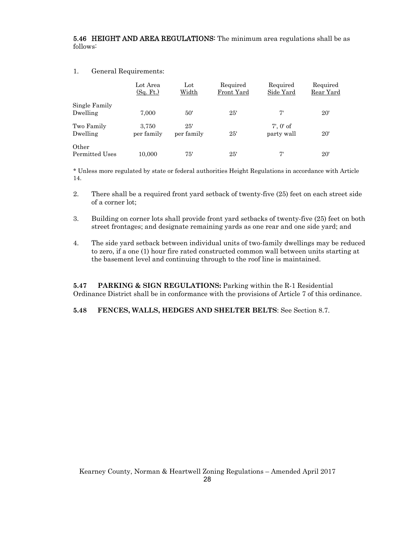5.46 HEIGHT AND AREA REGULATIONS: The minimum area regulations shall be as follows:

#### 1. General Requirements:

|                           | Lot Area<br>(Sq. Ft.) | $_{\rm Lot}$<br>Width | Required<br>Front Yard | Required<br>Side Yard        | Required<br>Rear Yard |
|---------------------------|-----------------------|-----------------------|------------------------|------------------------------|-----------------------|
| Single Family<br>Dwelling | 7,000                 | 50'                   | 25'                    | 7'                           | $20^{\circ}$          |
| Two Family<br>Dwelling    | 3.750<br>per family   | 25'<br>per family     | 25'                    | $7'$ , $0'$ of<br>party wall | $20^{\circ}$          |
| Other<br>Permitted Uses   | 10.000                | 75'                   | 25'                    | 7'                           | $20^{\circ}$          |

\* Unless more regulated by state or federal authorities Height Regulations in accordance with Article 14.

- 2. There shall be a required front yard setback of twenty-five (25) feet on each street side of a corner lot;
- 3. Building on corner lots shall provide front yard setbacks of twenty-five (25) feet on both street frontages; and designate remaining yards as one rear and one side yard; and
- 4. The side yard setback between individual units of two-family dwellings may be reduced to zero, if a one (1) hour fire rated constructed common wall between units starting at the basement level and continuing through to the roof line is maintained.

**5.47 PARKING & SIGN REGULATIONS:** Parking within the R-1 Residential Ordinance District shall be in conformance with the provisions of Article 7 of this ordinance.

**5.48 FENCES, WALLS, HEDGES AND SHELTER BELTS**: See Section 8.7.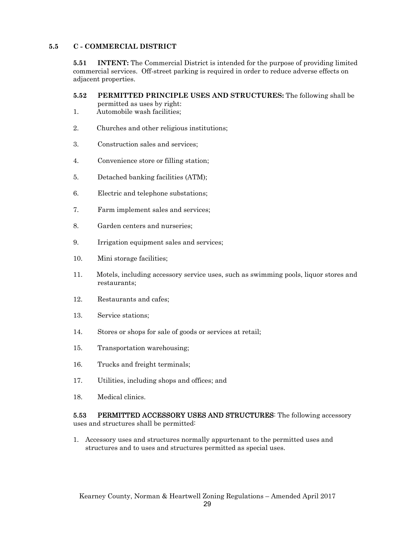#### **5.5 C - COMMERCIAL DISTRICT**

**5.51 INTENT:** The Commercial District is intended for the purpose of providing limited commercial services. Off-street parking is required in order to reduce adverse effects on adjacent properties.

**5.52 PERMITTED PRINCIPLE USES AND STRUCTURES:** The following shall be permitted as uses by right:

- 1. Automobile wash facilities;
- 2. Churches and other religious institutions;
- 3. Construction sales and services;
- 4. Convenience store or filling station;
- 5. Detached banking facilities (ATM);
- 6. Electric and telephone substations;
- 7. Farm implement sales and services;
- 8. Garden centers and nurseries;
- 9. Irrigation equipment sales and services;
- 10. Mini storage facilities;
- 11. Motels, including accessory service uses, such as swimming pools, liquor stores and restaurants;
- 12. Restaurants and cafes;
- 13. Service stations;
- 14. Stores or shops for sale of goods or services at retail;
- 15. Transportation warehousing;
- 16. Trucks and freight terminals;
- 17. Utilities, including shops and offices; and
- 18. Medical clinics.

5.53 PERMITTED ACCESSORY USES AND STRUCTURES: The following accessory uses and structures shall be permitted:

1. Accessory uses and structures normally appurtenant to the permitted uses and structures and to uses and structures permitted as special uses.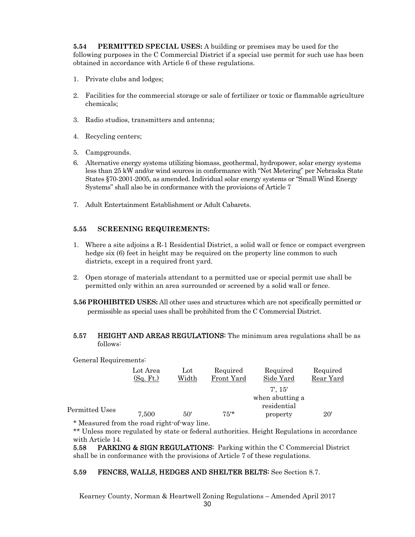**5.54 PERMITTED SPECIAL USES:** A building or premises may be used for the following purposes in the C Commercial District if a special use permit for such use has been obtained in accordance with Article 6 of these regulations.

- 1. Private clubs and lodges;
- 2. Facilities for the commercial storage or sale of fertilizer or toxic or flammable agriculture chemicals;
- 3. Radio studios, transmitters and antenna;
- 4. Recycling centers;
- 5. Campgrounds.
- 6. Alternative energy systems utilizing biomass, geothermal, hydropower, solar energy systems less than 25 kW and/or wind sources in conformance with "Net Metering" per Nebraska State States §70-2001-2005, as amended. Individual solar energy systems or "Small Wind Energy Systems" shall also be in conformance with the provisions of Article 7
- 7. Adult Entertainment Establishment or Adult Cabarets.

#### **5.55 SCREENING REQUIREMENTS:**

- 1. Where a site adjoins a R-1 Residential District, a solid wall or fence or compact evergreen hedge six (6) feet in height may be required on the property line common to such districts, except in a required front yard.
- 2. Open storage of materials attendant to a permitted use or special permit use shall be permitted only within an area surrounded or screened by a solid wall or fence.
- **5.56 PROHIBITED USES:** All other uses and structures which are not specifically permitted or permissible as special uses shall be prohibited from the C Commercial District.
- **5.57 HEIGHT AND AREAS REGULATIONS:** The minimum area regulations shall be as follows:

General Requirements:

|                | Lot Area  | $_{\rm Lot}$ | Required   | Required        | Required  |
|----------------|-----------|--------------|------------|-----------------|-----------|
|                | (Sq. Ft.) | Width        | Front Yard | Side Yard       | Rear Yard |
|                |           |              |            | $7'$ , $15'$    |           |
|                |           |              |            | when abutting a |           |
| Permitted Uses |           |              |            | residential     |           |
|                | 7.500     | 50'          | $75*$      | property        | 20'       |
|                |           |              |            |                 |           |

Measured from the road right-of-way line.

\*\* Unless more regulated by state or federal authorities. Height Regulations in accordance with Article 14.

**5.58 PARKING & SIGN REGULATIONS:** Parking within the C Commercial District shall be in conformance with the provisions of Article 7 of these regulations.

#### 5.59 FENCES, WALLS, HEDGES AND SHELTER BELTS: See Section 8.7.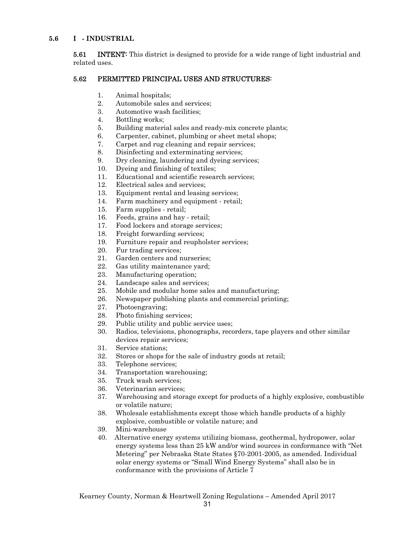#### **5.6 I - INDUSTRIAL**

**5.61** INTENT: This district is designed to provide for a wide range of light industrial and related uses.

#### 5.62 PERMITTED PRINCIPAL USES AND STRUCTURES:

- 1. Animal hospitals;
- 2. Automobile sales and services;
- 3. Automotive wash facilities;
- 4. Bottling works;
- 5. Building material sales and ready-mix concrete plants;
- 6. Carpenter, cabinet, plumbing or sheet metal shops;
- 7. Carpet and rug cleaning and repair services;
- 8. Disinfecting and exterminating services;
- 9. Dry cleaning, laundering and dyeing services;
- 10. Dyeing and finishing of textiles;
- 11. Educational and scientific research services;
- 12. Electrical sales and services;
- 13. Equipment rental and leasing services;
- 14. Farm machinery and equipment retail;
- 15. Farm supplies retail;
- 16. Feeds, grains and hay retail;
- 17. Food lockers and storage services;
- 18. Freight forwarding services;
- 19. Furniture repair and reupholster services;
- 20. Fur trading services;
- 21. Garden centers and nurseries;
- 22. Gas utility maintenance yard;
- 23. Manufacturing operation;
- 24. Landscape sales and services;
- 25. Mobile and modular home sales and manufacturing;
- 26. Newspaper publishing plants and commercial printing;
- 27. Photoengraving;
- 28. Photo finishing services;
- 29. Public utility and public service uses;
- 30. Radios, televisions, phonographs, recorders, tape players and other similar devices repair services;
- 31. Service stations;
- 32. Stores or shops for the sale of industry goods at retail;
- 33. Telephone services;
- 34. Transportation warehousing;
- 35. Truck wash services;
- 36. Veterinarian services;
- 37. Warehousing and storage except for products of a highly explosive, combustible or volatile nature;
- 38. Wholesale establishments except those which handle products of a highly explosive, combustible or volatile nature; and
- 39. Mini-warehouse
- 40. Alternative energy systems utilizing biomass, geothermal, hydropower, solar energy systems less than 25 kW and/or wind sources in conformance with "Net Metering" per Nebraska State States §70-2001-2005, as amended. Individual solar energy systems or "Small Wind Energy Systems" shall also be in conformance with the provisions of Article 7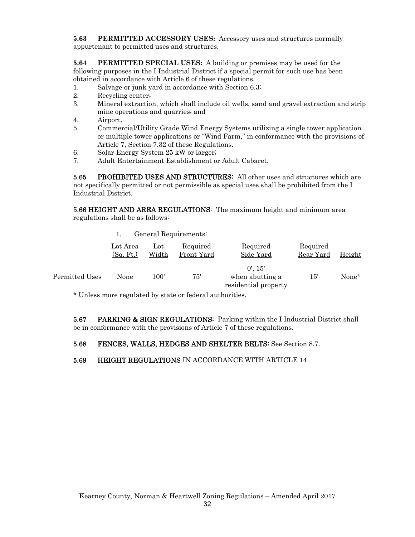**5.63 PERMITTED ACCESSORY USES:** Accessory uses and structures normally appurtenant to permitted uses and structures.

**5.64 PERMITTED SPECIAL USES:** A building or premises may be used for the following purposes in the I Industrial District if a special permit for such use has been obtained in accordance with Article 6 of these regulations.

- 1. Salvage or junk yard in accordance with Section 6.3;
- 2. Recycling center;
- 3. Mineral extraction, which shall include oil wells, sand and gravel extraction and strip mine operations and quarries; and
- 4. Airport.
- 5. Commercial/Utility Grade Wind Energy Systems utilizing a single tower application or multiple tower applications or "Wind Farm," in conformance with the provisions of Article 7, Section 7.32 of these Regulations.
- 6. Solar Energy System 25 kW or larger;
- 7. Adult Entertainment Establishment or Adult Cabaret.

5.65 PROHIBITED USES AND STRUCTURES: All other uses and structures which are not specifically permitted or not permissible as special uses shall be prohibited from the I Industrial District.

5.66 HEIGHT AND AREA REGULATIONS: The maximum height and minimum area regulations shall be as follows:

1. General Requirements:

|                | Lot Area<br>(Sg. Ft.) | $_{\rm Lot}$<br>Width | Required<br>Front Yard | Required<br>Side Yard                                 | Required<br>Rear Yard | Height |
|----------------|-----------------------|-----------------------|------------------------|-------------------------------------------------------|-----------------------|--------|
| Permitted Uses | None                  | 100'                  | 75'                    | $0'$ , 15'<br>when abutting a<br>residential property | 15'                   | None*  |

\* Unless more regulated by state or federal authorities.

**5.67** PARKING & SIGN REGULATIONS: Parking within the I Industrial District shall be in conformance with the provisions of Article 7 of these regulations.

5.68 FENCES, WALLS, HEDGES AND SHELTER BELTS: See Section 8.7.

5.69 HEIGHT REGULATIONS IN ACCORDANCE WITH ARTICLE 14.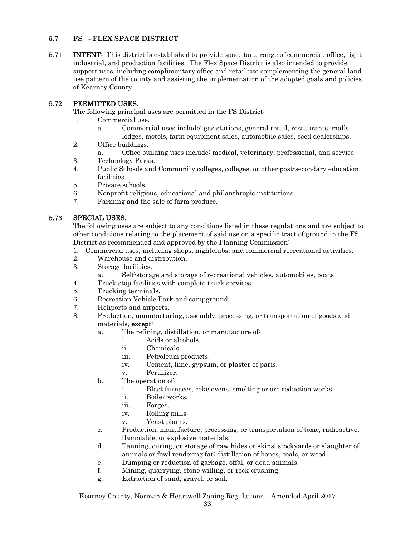#### **5.7 FS - FLEX SPACE DISTRICT**

**5.71** INTENT: This district is established to provide space for a range of commercial, office, light industrial, and production facilities. The Flex Space District is also intended to provide support uses, including complimentary office and retail use complementing the general land use pattern of the county and assisting the implementation of the adopted goals and policies of Kearney County.

#### 5.72 PERMITTED USES.

The following principal uses are permitted in the FS District:

- 1. Commercial use.
	- a. Commercial uses include: gas stations, general retail, restaurants, malls, lodges, motels, farm equipment sales, automobile sales, seed dealerships.
- 2. Office buildings.
	- a. Office building uses include: medical, veterinary, professional, and service.
- 3. Technology Parks.
- 4. Public Schools and Community colleges, colleges, or other post-secondary education facilities.
- 5. Private schools.
- 6. Nonprofit religious, educational and philanthropic institutions.
- 7. Farming and the sale of farm produce.

#### 5.73 SPECIAL USES.

The following uses are subject to any conditions listed in these regulations and are subject to other conditions relating to the placement of said use on a specific tract of ground in the FS District as recommended and approved by the Planning Commission:

- 1. Commercial uses, including shops, nightclubs, and commercial recreational activities.
- 2. Warehouse and distribution.
- 3. Storage facilities.
	- a. Self-storage and storage of recreational vehicles, automobiles, boats;
- 4. Truck stop facilities with complete truck services.
- 5. Trucking terminals.
- 6. Recreation Vehicle Park and campground.
- 7. Heliports and airports.
- 8. Production, manufacturing, assembly, processing, or transportation of goods and materials, except:
	- a. The refining, distillation, or manufacture of:
		- i. Acids or alcohols.
		- ii. Chemicals.
		- iii. Petroleum products.
		- iv. Cement, lime, gypsum, or plaster of paris.
		- v. Fertilizer.
	- b. The operation of:
		- i. Blast furnaces, coke ovens, smelting or ore reduction works.
		- ii. Boiler works.
		- iii. Forges.
		- iv. Rolling mills.
		- v. Yeast plants.
	- c. Production, manufacture, processing, or transportation of toxic, radioactive, flammable, or explosive materials.
	- d. Tanning, curing, or storage of raw hides or skins; stockyards or slaughter of animals or fowl rendering fat; distillation of bones, coals, or wood.
	- e. Dumping or reduction of garbage, offal, or dead animals.
	- f. Mining, quarrying, stone willing, or rock crushing.
	- g. Extraction of sand, gravel, or soil.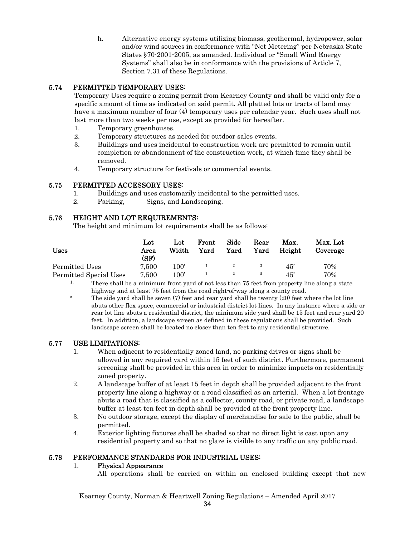h. Alternative energy systems utilizing biomass, geothermal, hydropower, solar and/or wind sources in conformance with "Net Metering" per Nebraska State States §70-2001-2005, as amended. Individual or "Small Wind Energy Systems" shall also be in conformance with the provisions of Article 7, Section 7.31 of these Regulations.

#### 5.74 PERMITTED TEMPORARY USES:

 Temporary Uses require a zoning permit from Kearney County and shall be valid only for a specific amount of time as indicated on said permit. All platted lots or tracts of land may have a maximum number of four (4) temporary uses per calendar year. Such uses shall not last more than two weeks per use, except as provided for hereafter.

- 1. Temporary greenhouses.
- 2. Temporary structures as needed for outdoor sales events.
- 3. Buildings and uses incidental to construction work are permitted to remain until completion or abandonment of the construction work, at which time they shall be removed.
- 4. Temporary structure for festivals or commercial events.

#### 5.75 PERMITTED ACCESSORY USES:

- 1. Buildings and uses customarily incidental to the permitted uses.
- 2. Parking, Signs, and Landscaping.

#### 5.76 HEIGHT AND LOT REQUIREMENTS:

The height and minimum lot requirements shall be as follows:

| <b>Uses</b>            | Lot<br>Area<br>(SF) | Lot<br>Width  | Front<br>Yard | Side<br>Yard | Rear<br>Yard | Max.<br>Height | Max. Lot<br>Coverage |
|------------------------|---------------------|---------------|---------------|--------------|--------------|----------------|----------------------|
| Permitted Uses         | 7.500               | 100'          |               |              |              | 45'            | 70%                  |
| Permitted Special Uses | 7.500               | $100^{\circ}$ |               |              |              | 45'            | 70%                  |

- <sup>1.</sup> There shall be a minimum front yard of not less than 75 feet from property line along a state highway and at least 75 feet from the road right-of-way along a county road.
- <sup>2</sup> The side yard shall be seven (7) feet and rear yard shall be twenty (20) feet where the lot line abuts other flex space, commercial or industrial district lot lines. In any instance where a side or rear lot line abuts a residential district, the minimum side yard shall be 15 feet and rear yard 20 feet. In addition, a landscape screen as defined in these regulations shall be provided. Such landscape screen shall be located no closer than ten feet to any residential structure.

#### 5.77 USE LIMITATIONS:

- 1. When adjacent to residentially zoned land, no parking drives or signs shall be allowed in any required yard within 15 feet of such district. Furthermore, permanent screening shall be provided in this area in order to minimize impacts on residentially zoned property.
- 2. A landscape buffer of at least 15 feet in depth shall be provided adjacent to the front property line along a highway or a road classified as an arterial. When a lot frontage abuts a road that is classified as a collector, county road, or private road, a landscape buffer at least ten feet in depth shall be provided at the front property line.
- 3. No outdoor storage, except the display of merchandise for sale to the public, shall be permitted.
- 4. Exterior lighting fixtures shall be shaded so that no direct light is cast upon any residential property and so that no glare is visible to any traffic on any public road.

#### 5.78 PERFORMANCE STANDARDS FOR INDUSTRIAL USES:

#### 1. Physical Appearance

All operations shall be carried on within an enclosed building except that new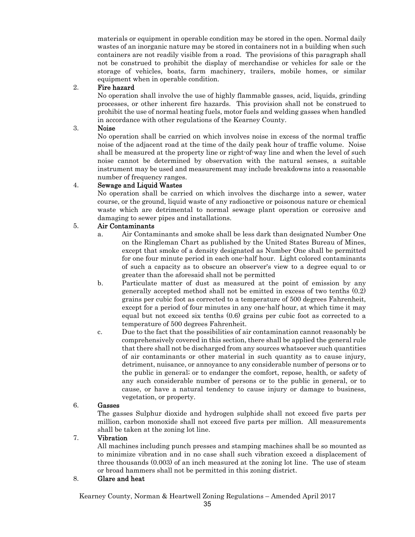materials or equipment in operable condition may be stored in the open. Normal daily wastes of an inorganic nature may be stored in containers not in a building when such containers are not readily visible from a road. The provisions of this paragraph shall not be construed to prohibit the display of merchandise or vehicles for sale or the storage of vehicles, boats, farm machinery, trailers, mobile homes, or similar equipment when in operable condition.

#### 2. Fire hazard

No operation shall involve the use of highly flammable gasses, acid, liquids, grinding processes, or other inherent fire hazards. This provision shall not be construed to prohibit the use of normal heating fuels, motor fuels and welding gasses when handled in accordance with other regulations of the Kearney County.

#### 3. Noise

No operation shall be carried on which involves noise in excess of the normal traffic noise of the adjacent road at the time of the daily peak hour of traffic volume. Noise shall be measured at the property line or right-of-way line and when the level of such noise cannot be determined by observation with the natural senses, a suitable instrument may be used and measurement may include breakdowns into a reasonable number of frequency ranges.

#### 4. Sewage and Liquid Wastes

No operation shall be carried on which involves the discharge into a sewer, water course, or the ground, liquid waste of any radioactive or poisonous nature or chemical waste which are detrimental to normal sewage plant operation or corrosive and damaging to sewer pipes and installations.

#### 5. Air Contaminants

- a. Air Contaminants and smoke shall be less dark than designated Number One on the Ringleman Chart as published by the United States Bureau of Mines, except that smoke of a density designated as Number One shall be permitted for one four minute period in each one-half hour. Light colored contaminants of such a capacity as to obscure an observer's view to a degree equal to or greater than the aforesaid shall not be permitted
- b. Particulate matter of dust as measured at the point of emission by any generally accepted method shall not be emitted in excess of two tenths (0.2) grains per cubic foot as corrected to a temperature of 500 degrees Fahrenheit, except for a period of four minutes in any one-half hour, at which time it may equal but not exceed six tenths (0.6) grains per cubic foot as corrected to a temperature of 500 degrees Fahrenheit.
- c. Due to the fact that the possibilities of air contamination cannot reasonably be comprehensively covered in this section, there shall be applied the general rule that there shall not be discharged from any sources whatsoever such quantities of air contaminants or other material in such quantity as to cause injury, detriment, nuisance, or annoyance to any considerable number of persons or to the public in general; or to endanger the comfort, repose, health, or safety of any such considerable number of persons or to the public in general, or to cause, or have a natural tendency to cause injury or damage to business, vegetation, or property.

#### 6. Gasses

The gasses Sulphur dioxide and hydrogen sulphide shall not exceed five parts per million, carbon monoxide shall not exceed five parts per million. All measurements shall be taken at the zoning lot line.

#### 7. Vibration

All machines including punch presses and stamping machines shall be so mounted as to minimize vibration and in no case shall such vibration exceed a displacement of three thousands (0.003) of an inch measured at the zoning lot line. The use of steam or broad hammers shall not be permitted in this zoning district.

#### 8. Glare and heat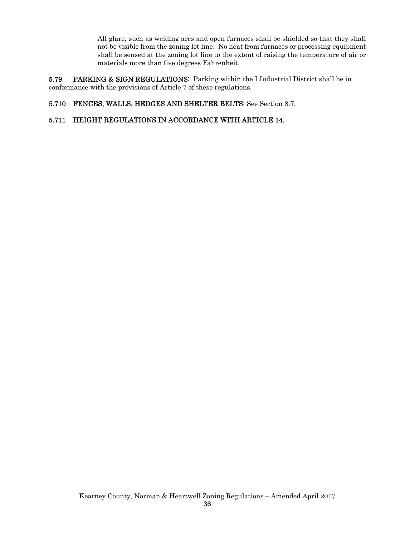All glare, such as welding arcs and open furnaces shall be shielded so that they shall not be visible from the zoning lot line. No heat from furnaces or processing equipment shall be sensed at the zoning lot line to the extent of raising the temperature of air or materials more than five degrees Fahrenheit.

5.79 PARKING & SIGN REGULATIONS: Parking within the I Industrial District shall be in conformance with the provisions of Article 7 of these regulations.

#### 5.710 FENCES, WALLS, HEDGES AND SHELTER BELTS: See Section 8.7.

#### 5.711 HEIGHT REGULATIONS IN ACCORDANCE WITH ARTICLE 14.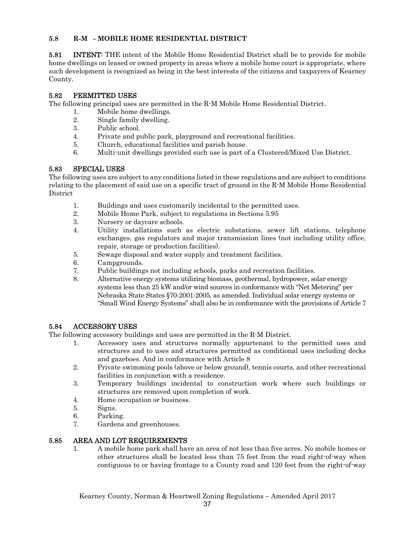## **5.8 R-M - MOBILE HOME RESIDENTIAL DISTRICT**

**5.81** INTENT: THE intent of the Mobile Home Residential District shall be to provide for mobile home dwellings on leased or owned property in areas where a mobile home court is appropriate, where such development is recognized as being in the best interests of the citizens and taxpayers of Kearney County.

## 5.82 PERMITTED USES

The following principal uses are permitted in the R-M Mobile Home Residential District.

- 1. Mobile home dwellings.
- 2. Single family dwelling.
- 3. Public school.
- 4. Private and public park, playground and recreational facilities.
- 5. Church, educational facilities and parish house.
- 6. Multi-unit dwellings provided such use is part of a Clustered/Mixed Use District.

## 5.83 SPECIAL USES

The following uses are subject to any conditions listed in these regulations and are subject to conditions relating to the placement of said use on a specific tract of ground in the R-M Mobile Home Residential **District** 

- 1. Buildings and uses customarily incidental to the permitted uses.
- 2. Mobile Home Park, subject to regulations in Sections 5.95
- 3. Nursery or daycare schools.
- 4. Utility installations such as electric substations, sewer lift stations, telephone exchanges, gas regulators and major transmission lines (not including utility office, repair, storage or production facilities).
- 5. Sewage disposal and water supply and treatment facilities.
- 6. Campgrounds.
- 7. Public buildings not including schools, parks and recreation facilities.
- 8. Alternative energy systems utilizing biomass, geothermal, hydropower, solar energy systems less than 25 kW and/or wind sources in conformance with "Net Metering" per Nebraska State States §70-2001-2005, as amended. Individual solar energy systems or "Small Wind Energy Systems" shall also be in conformance with the provisions of Article 7

## 5.84 ACCESSORY USES

The following accessory buildings and uses are permitted in the R-M District.

- 1. Accessory uses and structures normally appurtenant to the permitted uses and structures and to uses and structures permitted as conditional uses including decks and gazeboes. And in conformance with Article 8
- 2. Private swimming pools (above or below ground), tennis courts, and other recreational facilities in conjunction with a residence.
- 3. Temporary buildings incidental to construction work where such buildings or structures are removed upon completion of work.
- 4. Home occupation or business.
- 5. Signs.
- 6. Parking.
- 7. Gardens and greenhouses.

## 5.85 AREA AND LOT REQUIREMENTS

1. A mobile home park shall have an area of not less than five acres. No mobile homes or other structures shall be located less than 75 feet from the road right-of-way when contiguous to or having frontage to a County road and 120 feet from the right-of-way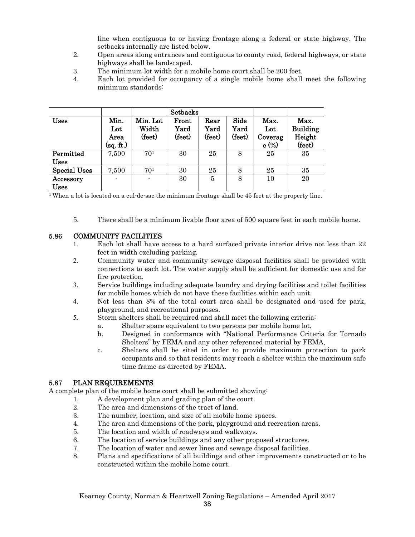line when contiguous to or having frontage along a federal or state highway. The setbacks internally are listed below.

- 2. Open areas along entrances and contiguous to county road, federal highways, or state highways shall be landscaped.
- 3. The minimum lot width for a mobile home court shall be 200 feet.
- 4. Each lot provided for occupancy of a single mobile home shall meet the following minimum standards:

|                     |                                  |                             | <b>Setbacks</b>         |                        |                        |                                         |                                             |
|---------------------|----------------------------------|-----------------------------|-------------------------|------------------------|------------------------|-----------------------------------------|---------------------------------------------|
| <b>Uses</b>         | Min.<br>Lot<br>Area<br>(sq. ft.) | Min. Lot<br>Width<br>(feet) | Front<br>Yard<br>(feet) | Rear<br>Yard<br>(feet) | Side<br>Yard<br>(feet) | Max.<br>$_{\rm Lot}$<br>Coverag<br>e(%) | Max.<br><b>Building</b><br>Height<br>(feet) |
| Permitted           | 7,500                            | 70 <sup>1</sup>             | 30                      | 25                     | 8                      | 25                                      | 35                                          |
| <b>Uses</b>         |                                  |                             |                         |                        |                        |                                         |                                             |
| <b>Special Uses</b> | 7,500                            | 70 <sup>1</sup>             | 30                      | 25                     | 8                      | 25                                      | 35                                          |
| Accessory           | ۰                                |                             | 30                      | 5                      | 8                      | 10                                      | 20                                          |
| Uses                |                                  |                             |                         |                        |                        |                                         |                                             |

1 When a lot is located on a cul-de-sac the minimum frontage shall be 45 feet at the property line.

5. There shall be a minimum livable floor area of 500 square feet in each mobile home.

#### 5.86 COMMUNITY FACILITIES

- 1. Each lot shall have access to a hard surfaced private interior drive not less than 22 feet in width excluding parking.
- 2. Community water and community sewage disposal facilities shall be provided with connections to each lot. The water supply shall be sufficient for domestic use and for fire protection.
- 3. Service buildings including adequate laundry and drying facilities and toilet facilities for mobile homes which do not have these facilities within each unit.
- 4. Not less than 8% of the total court area shall be designated and used for park, playground, and recreational purposes.
- 5. Storm shelters shall be required and shall meet the following criteria:
	- a. Shelter space equivalent to two persons per mobile home lot,
	- b. Designed in conformance with "National Performance Criteria for Tornado Shelters" by FEMA and any other referenced material by FEMA,
	- c. Shelters shall be sited in order to provide maximum protection to park occupants and so that residents may reach a shelter within the maximum safe time frame as directed by FEMA.

## 5.87 PLAN REQUIREMENTS

A complete plan of the mobile home court shall be submitted showing:

- 1. A development plan and grading plan of the court.
	- 2. The area and dimensions of the tract of land.
	- 3. The number, location, and size of all mobile home spaces.
	- 4. The area and dimensions of the park, playground and recreation areas.
	- 5. The location and width of roadways and walkways.
	- 6. The location of service buildings and any other proposed structures.
	- 7. The location of water and sewer lines and sewage disposal facilities.
	- 8. Plans and specifications of all buildings and other improvements constructed or to be constructed within the mobile home court.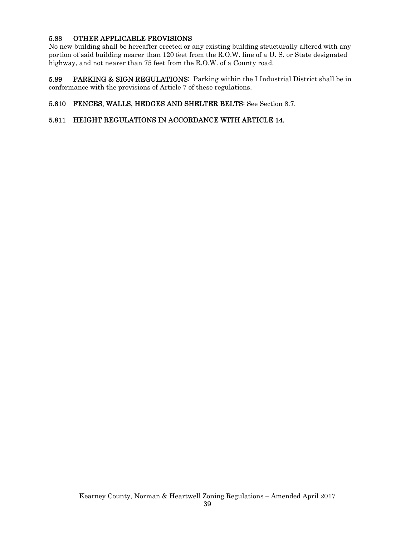## 5.88 OTHER APPLICABLE PROVISIONS

No new building shall be hereafter erected or any existing building structurally altered with any portion of said building nearer than 120 feet from the R.O.W. line of a U. S. or State designated highway, and not nearer than 75 feet from the R.O.W. of a County road.

5.89 PARKING & SIGN REGULATIONS: Parking within the I Industrial District shall be in conformance with the provisions of Article 7 of these regulations.

## 5.810 FENCES, WALLS, HEDGES AND SHELTER BELTS: See Section 8.7.

## 5.811 HEIGHT REGULATIONS IN ACCORDANCE WITH ARTICLE 14.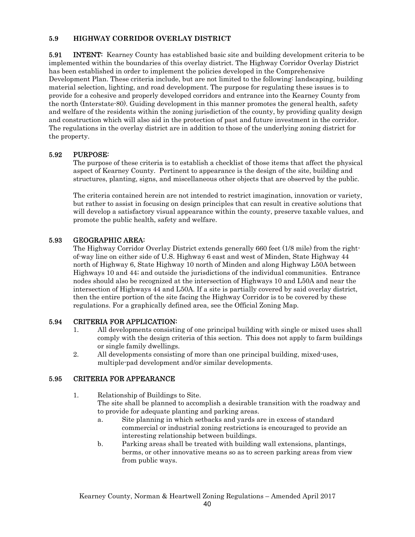### **5.9 HIGHWAY CORRIDOR OVERLAY DISTRICT**

**5.91** INTENT: Kearney County has established basic site and building development criteria to be implemented within the boundaries of this overlay district. The Highway Corridor Overlay District has been established in order to implement the policies developed in the Comprehensive Development Plan. These criteria include, but are not limited to the following: landscaping, building material selection, lighting, and road development. The purpose for regulating these issues is to provide for a cohesive and properly developed corridors and entrance into the Kearney County from the north (Interstate-80). Guiding development in this manner promotes the general health, safety and welfare of the residents within the zoning jurisdiction of the county, by providing quality design and construction which will also aid in the protection of past and future investment in the corridor. The regulations in the overlay district are in addition to those of the underlying zoning district for the property.

## 5.92 PURPOSE:

The purpose of these criteria is to establish a checklist of those items that affect the physical aspect of Kearney County. Pertinent to appearance is the design of the site, building and structures, planting, signs, and miscellaneous other objects that are observed by the public.

The criteria contained herein are not intended to restrict imagination, innovation or variety, but rather to assist in focusing on design principles that can result in creative solutions that will develop a satisfactory visual appearance within the county, preserve taxable values, and promote the public health, safety and welfare.

## 5.93 GEOGRAPHIC AREA:

The Highway Corridor Overlay District extends generally 660 feet (1/8 mile) from the rightof-way line on either side of U.S. Highway 6 east and west of Minden, State Highway 44 north of Highway 6, State Highway 10 north of Minden and along Highway L50A between Highways 10 and 44; and outside the jurisdictions of the individual communities. Entrance nodes should also be recognized at the intersection of Highways 10 and L50A and near the intersection of Highways 44 and L50A. If a site is partially covered by said overlay district, then the entire portion of the site facing the Highway Corridor is to be covered by these regulations. For a graphically defined area, see the Official Zoning Map.

## 5.94 CRITERIA FOR APPLICATION:

- 1. All developments consisting of one principal building with single or mixed uses shall comply with the design criteria of this section. This does not apply to farm buildings or single family dwellings.
- 2. All developments consisting of more than one principal building, mixed-uses, multiple-pad development and/or similar developments.

## 5.95 CRITERIA FOR APPEARANCE

- 1. Relationship of Buildings to Site. The site shall be planned to accomplish a desirable transition with the roadway and to provide for adequate planting and parking areas.
	- a. Site planning in which setbacks and yards are in excess of standard commercial or industrial zoning restrictions is encouraged to provide an interesting relationship between buildings.
	- b. Parking areas shall be treated with building wall extensions, plantings, berms, or other innovative means so as to screen parking areas from view from public ways.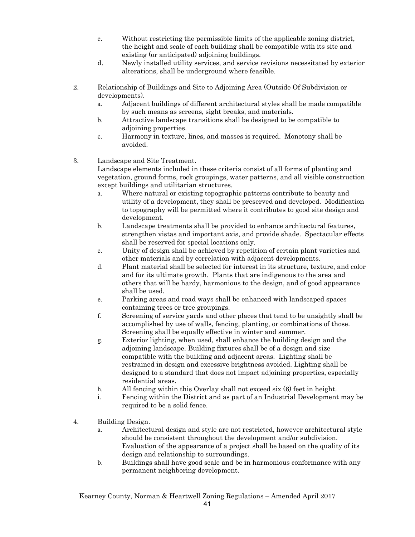- c. Without restricting the permissible limits of the applicable zoning district, the height and scale of each building shall be compatible with its site and existing (or anticipated) adjoining buildings.
- d. Newly installed utility services, and service revisions necessitated by exterior alterations, shall be underground where feasible.

2. Relationship of Buildings and Site to Adjoining Area (Outside Of Subdivision or developments).

- a. Adjacent buildings of different architectural styles shall be made compatible by such means as screens, sight breaks, and materials.
- b. Attractive landscape transitions shall be designed to be compatible to adjoining properties.
- c. Harmony in texture, lines, and masses is required. Monotony shall be avoided.
- 3. Landscape and Site Treatment.

Landscape elements included in these criteria consist of all forms of planting and vegetation, ground forms, rock groupings, water patterns, and all visible construction except buildings and utilitarian structures.

- a. Where natural or existing topographic patterns contribute to beauty and utility of a development, they shall be preserved and developed. Modification to topography will be permitted where it contributes to good site design and development.
- b. Landscape treatments shall be provided to enhance architectural features, strengthen vistas and important axis, and provide shade. Spectacular effects shall be reserved for special locations only.
- c. Unity of design shall be achieved by repetition of certain plant varieties and other materials and by correlation with adjacent developments.
- d. Plant material shall be selected for interest in its structure, texture, and color and for its ultimate growth. Plants that are indigenous to the area and others that will be hardy, harmonious to the design, and of good appearance shall be used.
- e. Parking areas and road ways shall be enhanced with landscaped spaces containing trees or tree groupings.
- f. Screening of service yards and other places that tend to be unsightly shall be accomplished by use of walls, fencing, planting, or combinations of those. Screening shall be equally effective in winter and summer.
- g. Exterior lighting, when used, shall enhance the building design and the adjoining landscape. Building fixtures shall be of a design and size compatible with the building and adjacent areas. Lighting shall be restrained in design and excessive brightness avoided. Lighting shall be designed to a standard that does not impact adjoining properties, especially residential areas.
- h. All fencing within this Overlay shall not exceed six (6) feet in height.
- i. Fencing within the District and as part of an Industrial Development may be required to be a solid fence.
- 4. Building Design.
	- a. Architectural design and style are not restricted, however architectural style should be consistent throughout the development and/or subdivision. Evaluation of the appearance of a project shall be based on the quality of its design and relationship to surroundings.
	- b. Buildings shall have good scale and be in harmonious conformance with any permanent neighboring development.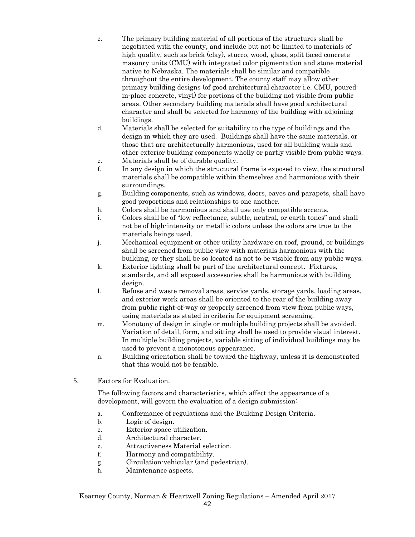- c. The primary building material of all portions of the structures shall be negotiated with the county, and include but not be limited to materials of high quality, such as brick (clay), stucco, wood, glass, split faced concrete masonry units (CMU) with integrated color pigmentation and stone material native to Nebraska. The materials shall be similar and compatible throughout the entire development. The county staff may allow other primary building designs (of good architectural character i.e. CMU, pouredin-place concrete, vinyl) for portions of the building not visible from public areas. Other secondary building materials shall have good architectural character and shall be selected for harmony of the building with adjoining buildings.
- d. Materials shall be selected for suitability to the type of buildings and the design in which they are used. Buildings shall have the same materials, or those that are architecturally harmonious, used for all building walls and other exterior building components wholly or partly visible from public ways.
- e. Materials shall be of durable quality.
- f. In any design in which the structural frame is exposed to view, the structural materials shall be compatible within themselves and harmonious with their surroundings.
- g. Building components, such as windows, doors, eaves and parapets, shall have good proportions and relationships to one another.
- h. Colors shall be harmonious and shall use only compatible accents.
- i. Colors shall be of "low reflectance, subtle, neutral, or earth tones" and shall not be of high-intensity or metallic colors unless the colors are true to the materials beings used.
- j. Mechanical equipment or other utility hardware on roof, ground, or buildings shall be screened from public view with materials harmonious with the building, or they shall be so located as not to be visible from any public ways.
- k. Exterior lighting shall be part of the architectural concept. Fixtures, standards, and all exposed accessories shall be harmonious with building design.
- l. Refuse and waste removal areas, service yards, storage yards, loading areas, and exterior work areas shall be oriented to the rear of the building away from public right-of-way or properly screened from view from public ways, using materials as stated in criteria for equipment screening.
- m. Monotony of design in single or multiple building projects shall be avoided. Variation of detail, form, and sitting shall be used to provide visual interest. In multiple building projects, variable sitting of individual buildings may be used to prevent a monotonous appearance.
- n. Building orientation shall be toward the highway, unless it is demonstrated that this would not be feasible.
- 5. Factors for Evaluation.

The following factors and characteristics, which affect the appearance of a development, will govern the evaluation of a design submission:

- a. Conformance of regulations and the Building Design Criteria.
- b. Logic of design.
- c. Exterior space utilization.
- d. Architectural character.
- e. Attractiveness Material selection.
- f. Harmony and compatibility.
- g. Circulation-vehicular (and pedestrian).
- h. Maintenance aspects.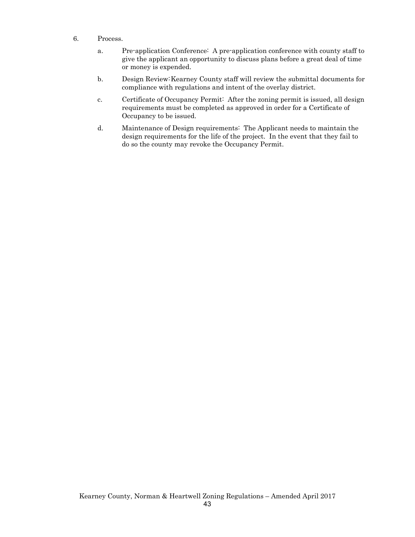- 6. Process.
	- a. Pre-application Conference: A pre-application conference with county staff to give the applicant an opportunity to discuss plans before a great deal of time or money is expended.
	- b. Design Review: Kearney County staff will review the submittal documents for compliance with regulations and intent of the overlay district.
	- c. Certificate of Occupancy Permit: After the zoning permit is issued, all design requirements must be completed as approved in order for a Certificate of Occupancy to be issued.
	- d. Maintenance of Design requirements: The Applicant needs to maintain the design requirements for the life of the project. In the event that they fail to do so the county may revoke the Occupancy Permit.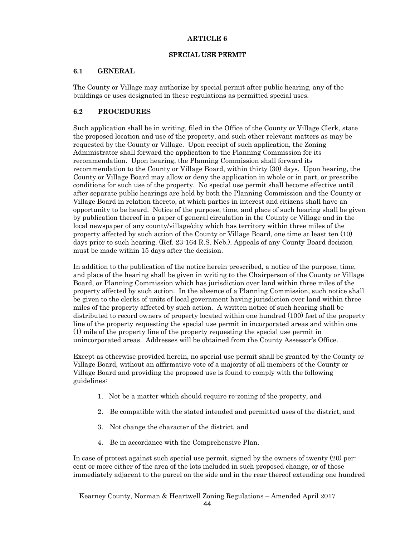## SPECIAL USE PERMIT

## **6.1 GENERAL**

The County or Village may authorize by special permit after public hearing, any of the buildings or uses designated in these regulations as permitted special uses.

## **6.2 PROCEDURES**

Such application shall be in writing, filed in the Office of the County or Village Clerk, state the proposed location and use of the property, and such other relevant matters as may be requested by the County or Village. Upon receipt of such application, the Zoning Administrator shall forward the application to the Planning Commission for its recommendation. Upon hearing, the Planning Commission shall forward its recommendation to the County or Village Board, within thirty (30) days. Upon hearing, the County or Village Board may allow or deny the application in whole or in part, or prescribe conditions for such use of the property. No special use permit shall become effective until after separate public hearings are held by both the Planning Commission and the County or Village Board in relation thereto, at which parties in interest and citizens shall have an opportunity to be heard. Notice of the purpose, time, and place of such hearing shall be given by publication thereof in a paper of general circulation in the County or Village and in the local newspaper of any county/village/city which has territory within three miles of the property affected by such action of the County or Village Board, one time at least ten (10) days prior to such hearing. (Ref. 23-164 R.S. Neb.). Appeals of any County Board decision must be made within 15 days after the decision.

In addition to the publication of the notice herein prescribed, a notice of the purpose, time, and place of the hearing shall be given in writing to the Chairperson of the County or Village Board, or Planning Commission which has jurisdiction over land within three miles of the property affected by such action. In the absence of a Planning Commission, such notice shall be given to the clerks of units of local government having jurisdiction over land within three miles of the property affected by such action. A written notice of such hearing shall be distributed to record owners of property located within one hundred (100) feet of the property line of the property requesting the special use permit in incorporated areas and within one (1) mile of the property line of the property requesting the special use permit in unincorporated areas. Addresses will be obtained from the County Assessor's Office.

Except as otherwise provided herein, no special use permit shall be granted by the County or Village Board, without an affirmative vote of a majority of all members of the County or Village Board and providing the proposed use is found to comply with the following guidelines:

- 1. Not be a matter which should require re-zoning of the property, and
- 2. Be compatible with the stated intended and permitted uses of the district, and
- 3. Not change the character of the district, and
- 4. Be in accordance with the Comprehensive Plan.

In case of protest against such special use permit, signed by the owners of twenty (20) percent or more either of the area of the lots included in such proposed change, or of those immediately adjacent to the parcel on the side and in the rear thereof extending one hundred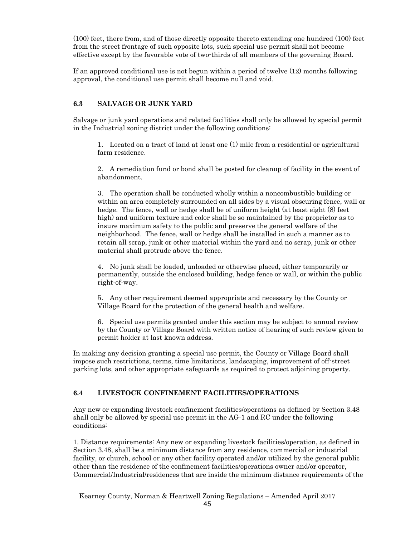(100) feet, there from, and of those directly opposite thereto extending one hundred (100) feet from the street frontage of such opposite lots, such special use permit shall not become effective except by the favorable vote of two-thirds of all members of the governing Board.

If an approved conditional use is not begun within a period of twelve (12) months following approval, the conditional use permit shall become null and void.

#### **6.3 SALVAGE OR JUNK YARD**

Salvage or junk yard operations and related facilities shall only be allowed by special permit in the Industrial zoning district under the following conditions:

1. Located on a tract of land at least one (1) mile from a residential or agricultural farm residence.

2. A remediation fund or bond shall be posted for cleanup of facility in the event of abandonment.

3. The operation shall be conducted wholly within a noncombustible building or within an area completely surrounded on all sides by a visual obscuring fence, wall or hedge. The fence, wall or hedge shall be of uniform height (at least eight  $(8)$  feet high) and uniform texture and color shall be so maintained by the proprietor as to insure maximum safety to the public and preserve the general welfare of the neighborhood. The fence, wall or hedge shall be installed in such a manner as to retain all scrap, junk or other material within the yard and no scrap, junk or other material shall protrude above the fence.

4. No junk shall be loaded, unloaded or otherwise placed, either temporarily or permanently, outside the enclosed building, hedge fence or wall, or within the public right-of-way.

5. Any other requirement deemed appropriate and necessary by the County or Village Board for the protection of the general health and welfare.

6. Special use permits granted under this section may be subject to annual review by the County or Village Board with written notice of hearing of such review given to permit holder at last known address.

In making any decision granting a special use permit, the County or Village Board shall impose such restrictions, terms, time limitations, landscaping, improvement of off-street parking lots, and other appropriate safeguards as required to protect adjoining property.

#### **6.4 LIVESTOCK CONFINEMENT FACILITIES/OPERATIONS**

Any new or expanding livestock confinement facilities/operations as defined by Section 3.48 shall only be allowed by special use permit in the AG-1 and RC under the following conditions:

1. Distance requirements: Any new or expanding livestock facilities/operation, as defined in Section 3.48, shall be a minimum distance from any residence, commercial or industrial facility, or church, school or any other facility operated and/or utilized by the general public other than the residence of the confinement facilities/operations owner and/or operator, Commercial/Industrial/residences that are inside the minimum distance requirements of the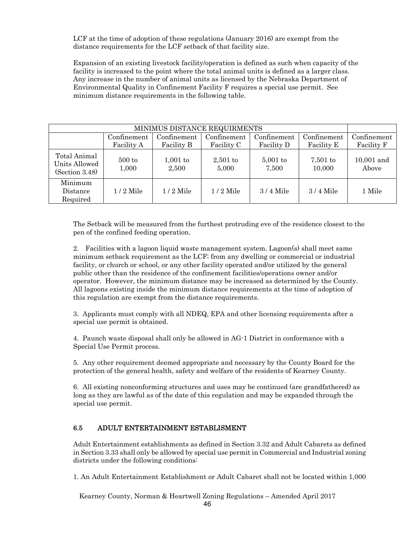LCF at the time of adoption of these regulations (January 2016) are exempt from the distance requirements for the LCF setback of that facility size.

 Expansion of an existing livestock facility/operation is defined as such when capacity of the facility is increased to the point where the total animal units is defined as a larger class. Any increase in the number of animal units as licensed by the Nebraska Department of Environmental Quality in Confinement Facility F requires a special use permit. See minimum distance requirements in the following table.

| MINIMUS DISTANCE REQUIRMENTS                    |                           |                           |                           |                           |                           |                           |
|-------------------------------------------------|---------------------------|---------------------------|---------------------------|---------------------------|---------------------------|---------------------------|
|                                                 | Confinement<br>Facility A | Confinement<br>Facility B | Confinement<br>Facility C | Confinement<br>Facility D | Confinement<br>Facility E | Confinement<br>Facility F |
| Total Animal<br>Units Allowed<br>(Section 3.48) | $500$ to<br>1,000         | $1,001$ to<br>2,500       | $2,501$ to<br>5,000       | $5,001$ to<br>7,500       | $7,501$ to<br>10,000      | $10,001$ and<br>Above     |
| Minimum<br>Distance<br>Required                 | $1/2$ Mile                | $1/2$ Mile                | $1/2$ Mile                | $3/4$ Mile                | $3/4$ Mile                | 1 Mile                    |

The Setback will be measured from the furthest protruding eve of the residence closest to the pen of the confined feeding operation.

2. Facilities with a lagoon liquid waste management system. Lagoon(s) shall meet same minimum setback requirement as the LCF; from any dwelling or commercial or industrial facility, or church or school, or any other facility operated and/or utilized by the general public other than the residence of the confinement facilities/operations owner and/or operator. However, the minimum distance may be increased as determined by the County. All lagoons existing inside the minimum distance requirements at the time of adoption of this regulation are exempt from the distance requirements.

3. Applicants must comply with all NDEQ, EPA and other licensing requirements after a special use permit is obtained.

4. Paunch waste disposal shall only be allowed in AG-1 District in conformance with a Special Use Permit process.

5. Any other requirement deemed appropriate and necessary by the County Board for the protection of the general health, safety and welfare of the residents of Kearney County.

6. All existing nonconforming structures and uses may be continued (are grandfathered) as long as they are lawful as of the date of this regulation and may be expanded through the special use permit.

## 6.5 ADULT ENTERTAINMENT ESTABLISMENT

Adult Entertainment establishments as defined in Section 3.32 and Adult Cabarets as defined in Section 3.33 shall only be allowed by special use permit in Commercial and Industrial zoning districts under the following conditions:

1. An Adult Entertainment Establishment or Adult Cabaret shall not be located within 1,000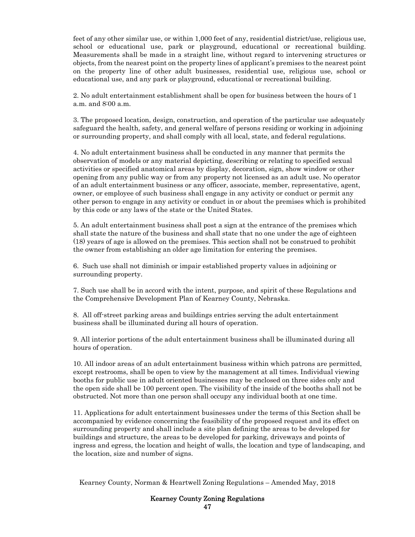feet of any other similar use, or within 1,000 feet of any, residential district/use, religious use, school or educational use, park or playground, educational or recreational building. Measurements shall be made in a straight line, without regard to intervening structures or objects, from the nearest point on the property lines of applicant's premises to the nearest point on the property line of other adult businesses, residential use, religious use, school or educational use, and any park or playground, educational or recreational building.

2. No adult entertainment establishment shall be open for business between the hours of 1 a.m. and 8:00 a.m.

3. The proposed location, design, construction, and operation of the particular use adequately safeguard the health, safety, and general welfare of persons residing or working in adjoining or surrounding property, and shall comply with all local, state, and federal regulations.

4. No adult entertainment business shall be conducted in any manner that permits the observation of models or any material depicting, describing or relating to specified sexual activities or specified anatomical areas by display, decoration, sign, show window or other opening from any public way or from any property not licensed as an adult use. No operator of an adult entertainment business or any officer, associate, member, representative, agent, owner, or employee of such business shall engage in any activity or conduct or permit any other person to engage in any activity or conduct in or about the premises which is prohibited by this code or any laws of the state or the United States.

5. An adult entertainment business shall post a sign at the entrance of the premises which shall state the nature of the business and shall state that no one under the age of eighteen (18) years of age is allowed on the premises. This section shall not be construed to prohibit the owner from establishing an older age limitation for entering the premises.

6. Such use shall not diminish or impair established property values in adjoining or surrounding property.

7. Such use shall be in accord with the intent, purpose, and spirit of these Regulations and the Comprehensive Development Plan of Kearney County, Nebraska.

8. All off-street parking areas and buildings entries serving the adult entertainment business shall be illuminated during all hours of operation.

9. All interior portions of the adult entertainment business shall be illuminated during all hours of operation.

10. All indoor areas of an adult entertainment business within which patrons are permitted, except restrooms, shall be open to view by the management at all times. Individual viewing booths for public use in adult oriented businesses may be enclosed on three sides only and the open side shall be 100 percent open. The visibility of the inside of the booths shall not be obstructed. Not more than one person shall occupy any individual booth at one time.

11. Applications for adult entertainment businesses under the terms of this Section shall be accompanied by evidence concerning the feasibility of the proposed request and its effect on surrounding property and shall include a site plan defining the areas to be developed for buildings and structure, the areas to be developed for parking, driveways and points of ingress and egress, the location and height of walls, the location and type of landscaping, and the location, size and number of signs.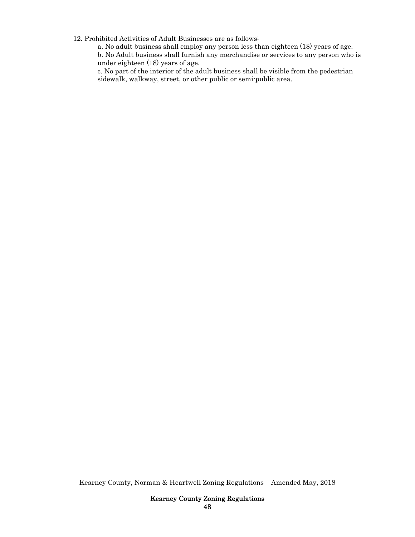12. Prohibited Activities of Adult Businesses are as follows:

a. No adult business shall employ any person less than eighteen (18) years of age.

b. No Adult business shall furnish any merchandise or services to any person who is under eighteen (18) years of age.

c. No part of the interior of the adult business shall be visible from the pedestrian sidewalk, walkway, street, or other public or semi-public area.

Kearney County, Norman & Heartwell Zoning Regulations – Amended May, 2018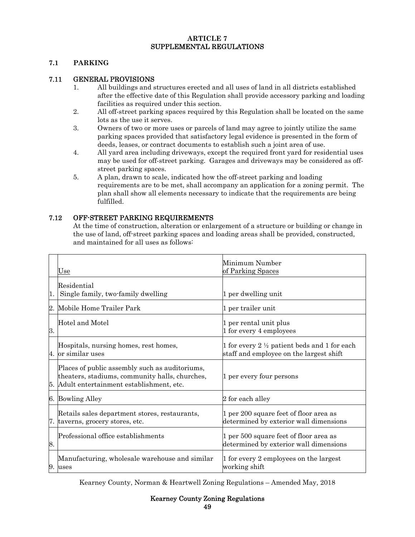## **ARTICLE 7**  SUPPLEMENTAL REGULATIONS

### **7.1 PARKING**

## 7.11 GENERAL PROVISIONS

- 1. All buildings and structures erected and all uses of land in all districts established after the effective date of this Regulation shall provide accessory parking and loading facilities as required under this section.
- 2. All off-street parking spaces required by this Regulation shall be located on the same lots as the use it serves.
- 3. Owners of two or more uses or parcels of land may agree to jointly utilize the same parking spaces provided that satisfactory legal evidence is presented in the form of deeds, leases, or contract documents to establish such a joint area of use.
- 4. All yard area including driveways, except the required front yard for residential uses may be used for off-street parking. Garages and driveways may be considered as offstreet parking spaces.
- 5. A plan, drawn to scale, indicated how the off-street parking and loading requirements are to be met, shall accompany an application for a zoning permit. The plan shall show all elements necessary to indicate that the requirements are being fulfilled.

## 7.12 OFF-STREET PARKING REQUIREMENTS

At the time of construction, alteration or enlargement of a structure or building or change in the use of land, off-street parking spaces and loading areas shall be provided, constructed, and maintained for all uses as follows:

|    | Use                                                                                                                                         | Minimum Number<br>of Parking Spaces                                                                |
|----|---------------------------------------------------------------------------------------------------------------------------------------------|----------------------------------------------------------------------------------------------------|
| 1. | Residential<br>Single family, two-family dwelling                                                                                           | 1 per dwelling unit                                                                                |
| 2. | Mobile Home Trailer Park                                                                                                                    | 1 per trailer unit                                                                                 |
| 3. | Hotel and Motel                                                                                                                             | 1 per rental unit plus<br>1 for every 4 employees                                                  |
|    | Hospitals, nursing homes, rest homes,<br>4. or similar uses                                                                                 | 1 for every 2 $\frac{1}{2}$ patient beds and 1 for each<br>staff and employee on the largest shift |
| 5. | Places of public assembly such as auditoriums,<br>theaters, stadiums, community halls, churches,<br>Adult entertainment establishment, etc. | 1 per every four persons                                                                           |
|    | 6. Bowling Alley                                                                                                                            | 2 for each alley                                                                                   |
|    | Retails sales department stores, restaurants,<br>7. taverns, grocery stores, etc.                                                           | 1 per 200 square feet of floor area as<br>determined by exterior wall dimensions                   |
| 8. | Professional office establishments                                                                                                          | 1 per 500 square feet of floor area as<br>determined by exterior wall dimensions                   |
| 9. | Manufacturing, wholesale warehouse and similar<br>uses                                                                                      | 1 for every 2 employees on the largest<br>working shift                                            |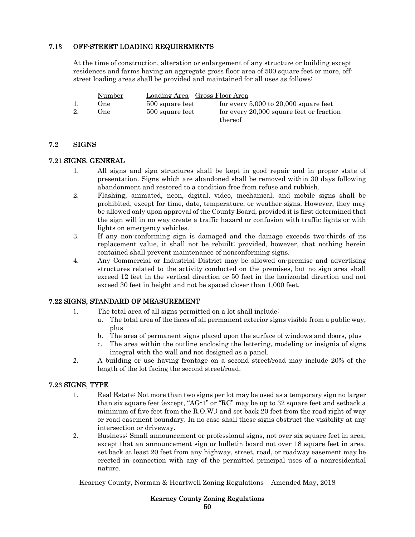## 7.13 OFF-STREET LOADING REQUIREMENTS

At the time of construction, alteration or enlargement of any structure or building except residences and farms having an aggregate gross floor area of 500 square feet or more, offstreet loading areas shall be provided and maintained for all uses as follows:

|    | Number | Loading Area Gross Floor Area |                                           |
|----|--------|-------------------------------|-------------------------------------------|
|    | Dne:   | 500 square feet               | for every $5,000$ to $20,000$ square feet |
| 2. | .)ne   | 500 square feet               | for every 20,000 square feet or fraction  |
|    |        |                               | thereof                                   |

### **7.2 SIGNS**

### 7.21 SIGNS, GENERAL

- 1. All signs and sign structures shall be kept in good repair and in proper state of presentation. Signs which are abandoned shall be removed within 30 days following abandonment and restored to a condition free from refuse and rubbish.
- 2. Flashing, animated, neon, digital, video, mechanical, and mobile signs shall be prohibited, except for time, date, temperature, or weather signs. However, they may be allowed only upon approval of the County Board, provided it is first determined that the sign will in no way create a traffic hazard or confusion with traffic lights or with lights on emergency vehicles.
- 3. If any non-conforming sign is damaged and the damage exceeds two-thirds of its replacement value, it shall not be rebuilt; provided, however, that nothing herein contained shall prevent maintenance of nonconforming signs.
- 4. Any Commercial or Industrial District may be allowed on-premise and advertising structures related to the activity conducted on the premises, but no sign area shall exceed 12 feet in the vertical direction or 50 feet in the horizontal direction and not exceed 30 feet in height and not be spaced closer than 1,000 feet.

## 7.22 SIGNS, STANDARD OF MEASUREMENT

- 1. The total area of all signs permitted on a lot shall include:
	- a. The total area of the faces of all permanent exterior signs visible from a public way, plus
	- b. The area of permanent signs placed upon the surface of windows and doors, plus
	- c. The area within the outline enclosing the lettering, modeling or insignia of signs integral with the wall and not designed as a panel.
- 2. A building or use having frontage on a second street/road may include 20% of the length of the lot facing the second street/road.

## 7.23 SIGNS, TYPE

- 1. Real Estate: Not more than two signs per lot may be used as a temporary sign no larger than six square feet (except, "AG-1" or "RC" may be up to 32 square feet and setback a minimum of five feet from the R.O.W.) and set back 20 feet from the road right of way or road easement boundary. In no case shall these signs obstruct the visibility at any intersection or driveway.
- 2. Business: Small announcement or professional signs, not over six square feet in area, except that an announcement sign or bulletin board not over 18 square feet in area, set back at least 20 feet from any highway, street, road, or roadway easement may be erected in connection with any of the permitted principal uses of a nonresidential nature.

Kearney County, Norman & Heartwell Zoning Regulations – Amended May, 2018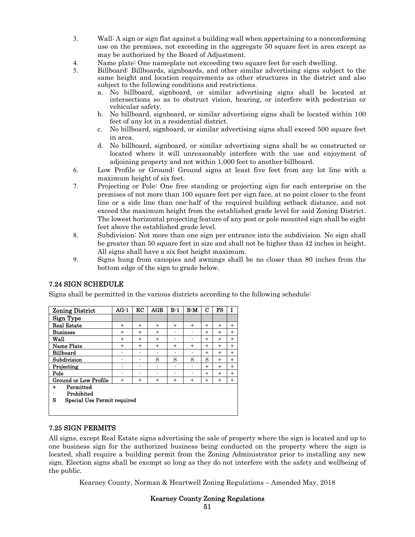- 3. Wall: A sign or sign flat against a building wall when appertaining to a nonconforming use on the premises, not exceeding in the aggregate 50 square feet in area except as may be authorized by the Board of Adjustment.
- 4. Name plate: One nameplate not exceeding two square feet for each dwelling.<br>5. Billboard: Billboards, signboards, and other similar advertising signs subjection
- 5. Billboard: Billboards, signboards, and other similar advertising signs subject to the same height and location requirements as other structures in the district and also subject to the following conditions and restrictions.
	- a. No billboard, signboard, or similar advertising signs shall be located at intersections so as to obstruct vision, hearing, or interfere with pedestrian or vehicular safety.
	- b. No billboard, signboard, or similar advertising signs shall be located within 100 feet of any lot in a residential district.
	- c. No billboard, signboard, or similar advertising signs shall exceed 500 square feet in area.
	- d. No billboard, signboard, or similar advertising signs shall be so constructed or located where it will unreasonably interfere with the use and enjoyment of adjoining property and not within 1,000 feet to another billboard.
- 6. Low Profile or Ground: Ground signs at least five feet from any lot line with a maximum height of six feet.
- 7. Projecting or Pole: One free standing or projecting sign for each enterprise on the premises of not more than 100 square feet per sign face, at no point closer to the front line or a side line than one-half of the required building setback distance, and not exceed the maximum height from the established grade level for said Zoning District. The lowest horizontal projecting feature of any post or pole mounted sign shall be eight feet above the established grade level.
- 8. Subdivision: Not more than one sign per entrance into the subdivision. No sign shall be greater than 50 square feet in size and shall not be higher than 42 inches in height. All signs shall have a six foot height maximum.
- 9. Signs hung from canopies and awnings shall be no closer than 80 inches from the bottom edge of the sign to grade below.

| <b>Zoning District</b>                                                | $AG-1$    | RC                       | AGR       | $R-1$                    | $R-M$                    | С              | FS  | I         |
|-----------------------------------------------------------------------|-----------|--------------------------|-----------|--------------------------|--------------------------|----------------|-----|-----------|
| Sign Type                                                             |           |                          |           |                          |                          |                |     |           |
| <b>Real Estate</b>                                                    | $^{+}$    | $+$                      | $\ddot{}$ | $^{+}$                   | $\ddot{}$                | $\ddot{}$      | $+$ | $^{+}$    |
| <b>Business</b>                                                       | $\ddot{}$ | $\ddot{}$                | $\ddot{}$ | ٠                        | $\overline{\phantom{0}}$ | $\ddot{}$      | $+$ | $^{+}$    |
| Wall                                                                  | $^{+}$    | $^{+}$                   | $\ddot{}$ | $\overline{\phantom{a}}$ |                          | $^{+}$         | $+$ | $^{+}$    |
| Name Plate                                                            | $^{+}$    | $^{+}$                   | $^{+}$    | $\ddot{}$                | $^{+}$                   | $^{+}$         | $+$ | $^{+}$    |
| <b>Billboard</b>                                                      |           |                          |           |                          |                          | $\overline{+}$ | $+$ | $\ddot{}$ |
| Subdivision                                                           | ۰         | $\overline{\phantom{0}}$ | S         | S                        | S                        | S              | $+$ | $+$       |
| Projecting                                                            |           |                          |           | ٠                        |                          | $^{+}$         | $+$ | $+$       |
| Pole                                                                  | ۰         |                          | ٠         | $\overline{\phantom{a}}$ | $\overline{\phantom{0}}$ | $^{+}$         | $+$ | $+$       |
| Ground or Low Profile                                                 | $^{+}$    | $^{+}$                   | $^{+}$    | $^{+}$                   | $^{+}$                   | $^{+}$         | $+$ | $^{+}$    |
| Permitted<br>$\div$<br>Prohibited<br>s<br>Special Use Permit required |           |                          |           |                          |                          |                |     |           |

# 7.24 SIGN SCHEDULE

Signs shall be permitted in the various districts according to the following schedule:

## 7.25 SIGN PERMITS

All signs, except Real Estate signs advertising the sale of property where the sign is located and up to one business sign for the authorized business being conducted on the property where the sign is located, shall require a building permit from the Zoning Administrator prior to installing any new sign. Election signs shall be exempt so long as they do not interfere with the safety and wellbeing of the public.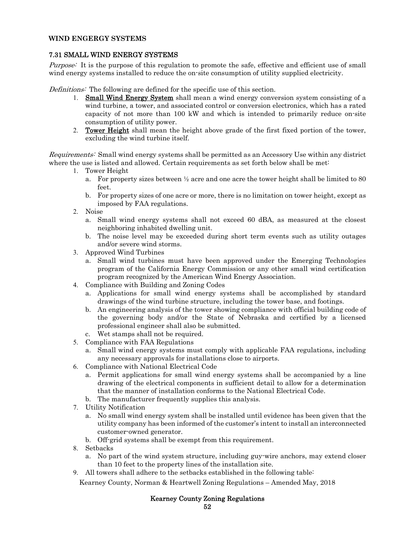#### **WIND ENGERGY SYSTEMS**

## 7.31 SMALL WIND ENERGY SYSTEMS

Purpose: It is the purpose of this regulation to promote the safe, effective and efficient use of small wind energy systems installed to reduce the on-site consumption of utility supplied electricity.

Definitions: The following are defined for the specific use of this section.

- 1. Small Wind Energy System shall mean a wind energy conversion system consisting of a wind turbine, a tower, and associated control or conversion electronics, which has a rated capacity of not more than 100 kW and which is intended to primarily reduce on-site consumption of utility power.
- 2. Tower Height shall mean the height above grade of the first fixed portion of the tower, excluding the wind turbine itself.

Requirements: Small wind energy systems shall be permitted as an Accessory Use within any district where the use is listed and allowed. Certain requirements as set forth below shall be met:

- 1. Tower Height
	- a. For property sizes between  $\frac{1}{2}$  acre and one acre the tower height shall be limited to 80 feet.
	- b. For property sizes of one acre or more, there is no limitation on tower height, except as imposed by FAA regulations.
- 2. Noise
	- a. Small wind energy systems shall not exceed 60 dBA, as measured at the closest neighboring inhabited dwelling unit.
	- b. The noise level may be exceeded during short term events such as utility outages and/or severe wind storms.
- 3. Approved Wind Turbines
	- a. Small wind turbines must have been approved under the Emerging Technologies program of the California Energy Commission or any other small wind certification program recognized by the American Wind Energy Association.
- 4. Compliance with Building and Zoning Codes
	- a. Applications for small wind energy systems shall be accomplished by standard drawings of the wind turbine structure, including the tower base, and footings.
	- b. An engineering analysis of the tower showing compliance with official building code of the governing body and/or the State of Nebraska and certified by a licensed professional engineer shall also be submitted.
	- c. Wet stamps shall not be required.
- 5. Compliance with FAA Regulations
	- a. Small wind energy systems must comply with applicable FAA regulations, including any necessary approvals for installations close to airports.
- 6. Compliance with National Electrical Code
	- a. Permit applications for small wind energy systems shall be accompanied by a line drawing of the electrical components in sufficient detail to allow for a determination that the manner of installation conforms to the National Electrical Code.
	- b. The manufacturer frequently supplies this analysis.
- 7. Utility Notification
	- a. No small wind energy system shall be installed until evidence has been given that the utility company has been informed of the customer's intent to install an interconnected customer-owned generator.
	- b. Off-grid systems shall be exempt from this requirement.
- 8. Setbacks
	- a. No part of the wind system structure, including guy-wire anchors, may extend closer than 10 feet to the property lines of the installation site.
- 9. All towers shall adhere to the setbacks established in the following table:

Kearney County, Norman & Heartwell Zoning Regulations – Amended May, 2018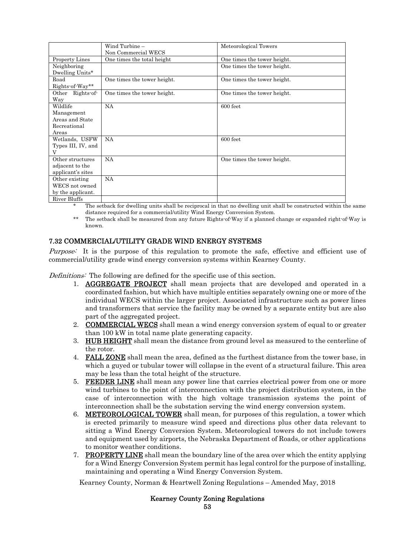|                       | Wind Turbine -              | Meteorological Towers       |
|-----------------------|-----------------------------|-----------------------------|
|                       | Non Commercial WECS         |                             |
| <b>Property Lines</b> | One times the total height  | One times the tower height. |
| Neighboring           |                             | One times the tower height. |
| Dwelling Units*       |                             |                             |
| Road                  | One times the tower height. | One times the tower height. |
| Rights of Way**       |                             |                             |
| Other Rights of       | One times the tower height. | One times the tower height. |
| Way                   |                             |                             |
| Wildlife              | <b>NA</b>                   | 600 feet                    |
| Management            |                             |                             |
| Areas and State       |                             |                             |
| Recreational          |                             |                             |
| Areas                 |                             |                             |
| Wetlands, USFW        | NA                          | 600 feet                    |
| Types III, IV, and    |                             |                             |
| V                     |                             |                             |
| Other structures      | <b>NA</b>                   | One times the tower height. |
| adjacent to the       |                             |                             |
| applicant's sites     |                             |                             |
| Other existing        | <b>NA</b>                   |                             |
| WECS not owned        |                             |                             |
| by the applicant.     |                             |                             |
| River Bluffs          |                             |                             |

\* The setback for dwelling units shall be reciprocal in that no dwelling unit shall be constructed within the same distance required for a commercial/utility Wind Energy Conversion System.

\*\* The setback shall be measured from any future Rights-of-Way if a planned change or expanded right-of-Way is known.

## 7.32 COMMERCIAL/UTILITY GRADE WIND ENERGY SYSTEMS

Purpose: It is the purpose of this regulation to promote the safe, effective and efficient use of commercial/utility grade wind energy conversion systems within Kearney County.

Definitions: The following are defined for the specific use of this section.

- 1. AGGREGATE PROJECT shall mean projects that are developed and operated in a coordinated fashion, but which have multiple entities separately owning one or more of the individual WECS within the larger project. Associated infrastructure such as power lines and transformers that service the facility may be owned by a separate entity but are also part of the aggregated project.
- 2. **COMMERCIAL WECS** shall mean a wind energy conversion system of equal to or greater than 100 kW in total name plate generating capacity.
- 3. HUB HEIGHT shall mean the distance from ground level as measured to the centerline of the rotor.
- 4. FALL ZONE shall mean the area, defined as the furthest distance from the tower base, in which a guyed or tubular tower will collapse in the event of a structural failure. This area may be less than the total height of the structure.
- 5. FEEDER LINE shall mean any power line that carries electrical power from one or more wind turbines to the point of interconnection with the project distribution system, in the case of interconnection with the high voltage transmission systems the point of interconnection shall be the substation serving the wind energy conversion system.
- 6. METEOROLOGICAL TOWER shall mean, for purposes of this regulation, a tower which is erected primarily to measure wind speed and directions plus other data relevant to sitting a Wind Energy Conversion System. Meteorological towers do not include towers and equipment used by airports, the Nebraska Department of Roads, or other applications to monitor weather conditions.
- 7. PROPERTY LINE shall mean the boundary line of the area over which the entity applying for a Wind Energy Conversion System permit has legal control for the purpose of installing, maintaining and operating a Wind Energy Conversion System.

Kearney County, Norman & Heartwell Zoning Regulations – Amended May, 2018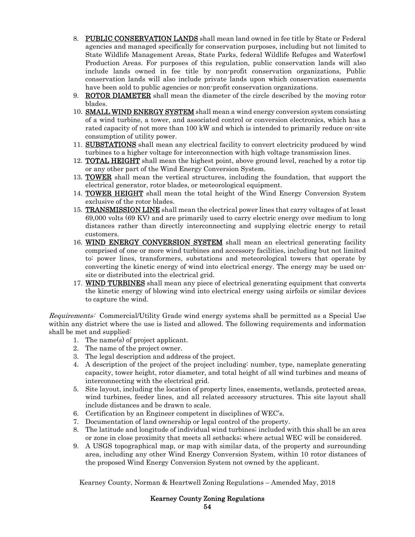- 8. PUBLIC CONSERVATION LANDS shall mean land owned in fee title by State or Federal agencies and managed specifically for conservation purposes, including but not limited to State Wildlife Management Areas, State Parks, federal Wildlife Refuges and Waterfowl Production Areas. For purposes of this regulation, public conservation lands will also include lands owned in fee title by non-profit conservation organizations, Public conservation lands will also include private lands upon which conservation easements have been sold to public agencies or non-profit conservation organizations.
- 9. **ROTOR DIAMETER** shall mean the diameter of the circle described by the moving rotor blades.
- 10. **SMALL WIND ENERGY SYSTEM** shall mean a wind energy conversion system consisting of a wind turbine, a tower, and associated control or conversion electronics, which has a rated capacity of not more than 100 kW and which is intended to primarily reduce on-site consumption of utility power.
- 11. SUBSTATIONS shall mean any electrical facility to convert electricity produced by wind turbines to a higher voltage for interconnection with high voltage transmission lines.
- 12. **TOTAL HEIGHT** shall mean the highest point, above ground level, reached by a rotor tip or any other part of the Wind Energy Conversion System.
- 13. **TOWER** shall mean the vertical structures, including the foundation, that support the electrical generator, rotor blades, or meteorological equipment.
- 14. **TOWER HEIGHT** shall mean the total height of the Wind Energy Conversion System exclusive of the rotor blades.
- 15. TRANSMISSION LINE shall mean the electrical power lines that carry voltages of at least 69,000 volts (69 KV) and are primarily used to carry electric energy over medium to long distances rather than directly interconnecting and supplying electric energy to retail customers.
- 16. WIND ENERGY CONVERSION SYSTEM shall mean an electrical generating facility comprised of one or more wind turbines and accessory facilities, including but not limited to: power lines, transformers, substations and meteorological towers that operate by converting the kinetic energy of wind into electrical energy. The energy may be used onsite or distributed into the electrical grid.
- 17. WIND TURBINES shall mean any piece of electrical generating equipment that converts the kinetic energy of blowing wind into electrical energy using airfoils or similar devices to capture the wind.

Requirements: Commercial/Utility Grade wind energy systems shall be permitted as a Special Use within any district where the use is listed and allowed. The following requirements and information shall be met and supplied:

- 1. The name(s) of project applicant.
- 2. The name of the project owner.
- 3. The legal description and address of the project.
- 4. A description of the project of the project including: number, type, nameplate generating capacity, tower height, rotor diameter, and total height of all wind turbines and means of interconnecting with the electrical grid.
- 5. Site layout, including the location of property lines, easements, wetlands, protected areas, wind turbines, feeder lines, and all related accessory structures. This site layout shall include distances and be drawn to scale.
- 6. Certification by an Engineer competent in disciplines of WEC's.
- 7. Documentation of land ownership or legal control of the property.
- 8. The latitude and longitude of individual wind turbines; included with this shall be an area or zone in close proximity that meets all setbacks; where actual WEC will be considered.
- 9. A USGS topographical map, or map with similar data, of the property and surrounding area, including any other Wind Energy Conversion System, within 10 rotor distances of the proposed Wind Energy Conversion System not owned by the applicant.

Kearney County, Norman & Heartwell Zoning Regulations – Amended May, 2018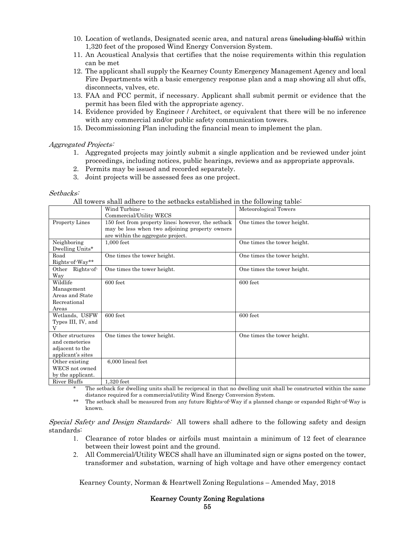- 10. Location of wetlands, Designated scenic area, and natural areas  $\frac{1}{2}$  buffation within 1,320 feet of the proposed Wind Energy Conversion System.
- 11. An Acoustical Analysis that certifies that the noise requirements within this regulation can be met
- 12. The applicant shall supply the Kearney County Emergency Management Agency and local Fire Departments with a basic emergency response plan and a map showing all shut offs, disconnects, valves, etc.
- 13. FAA and FCC permit, if necessary. Applicant shall submit permit or evidence that the permit has been filed with the appropriate agency.
- 14. Evidence provided by Engineer / Architect, or equivalent that there will be no inference with any commercial and/or public safety communication towers.
- 15. Decommissioning Plan including the financial mean to implement the plan.

### Aggregated Projects:

- 1. Aggregated projects may jointly submit a single application and be reviewed under joint proceedings, including notices, public hearings, reviews and as appropriate approvals.
- 2. Permits may be issued and recorded separately.
- 3. Joint projects will be assessed fees as one project.

#### Setbacks:

All towers shall adhere to the setbacks established in the following table:

|                                                                            | Wind Turbine -<br>Commercial/Utility WECS                                                                                                 | Meteorological Towers       |
|----------------------------------------------------------------------------|-------------------------------------------------------------------------------------------------------------------------------------------|-----------------------------|
| Property Lines                                                             | 150 feet from property lines; however, the setback<br>may be less when two adjoining property owners<br>are within the aggregate project. | One times the tower height. |
| Neighboring<br>Dwelling Units*                                             | 1,000 feet                                                                                                                                | One times the tower height. |
| Road<br>Rights of Way**                                                    | One times the tower height.                                                                                                               | One times the tower height. |
| Other Rights-of-<br>Way                                                    | One times the tower height.                                                                                                               | One times the tower height. |
| Wildlife<br>Management<br>Areas and State<br>Recreational<br>Areas         | 600 feet                                                                                                                                  | 600 feet                    |
| Wetlands, USFW<br>Types III, IV, and                                       | 600 feet                                                                                                                                  | 600 feet                    |
| Other structures<br>and cemeteries<br>adjacent to the<br>applicant's sites | One times the tower height.                                                                                                               | One times the tower height. |
| Other existing<br>WECS not owned<br>by the applicant.                      | 6,000 lineal feet                                                                                                                         |                             |
| River Bluffs                                                               | 1,320 feet                                                                                                                                |                             |

\* The setback for dwelling units shall be reciprocal in that no dwelling unit shall be constructed within the same distance required for a commercial/utility Wind Energy Conversion System.

\*\* The setback shall be measured from any future Rights-of-Way if a planned change or expanded Right-of-Way is known.

#### Special Safety and Design Standards: All towers shall adhere to the following safety and design standards:

- 1. Clearance of rotor blades or airfoils must maintain a minimum of 12 feet of clearance between their lowest point and the ground.
- 2. All Commercial/Utility WECS shall have an illuminated sign or signs posted on the tower, transformer and substation, warning of high voltage and have other emergency contact

Kearney County, Norman & Heartwell Zoning Regulations – Amended May, 2018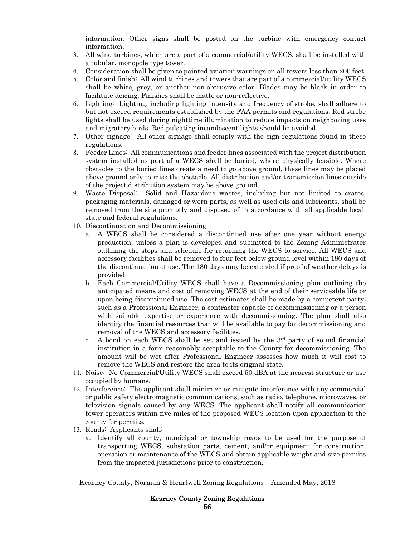information. Other signs shall be posted on the turbine with emergency contact information.

- 3. All wind turbines, which are a part of a commercial/utility WECS, shall be installed with a tubular, monopole type tower.
- 4. Consideration shall be given to painted aviation warnings on all towers less than 200 feet.
- 5. Color and finish: All wind turbines and towers that are part of a commercial/utility WECS shall be white, grey, or another non-obtrusive color. Blades may be black in order to facilitate deicing. Finishes shall be matte or non-reflective.
- 6. Lighting: Lighting, including lighting intensity and frequency of strobe, shall adhere to but not exceed requirements established by the FAA permits and regulations. Red strobe lights shall be used during nighttime illumination to reduce impacts on neighboring uses and migratory birds. Red pulsating incandescent lights should be avoided.
- 7. Other signage: All other signage shall comply with the sign regulations found in these regulations.
- 8. Feeder Lines: All communications and feeder lines associated with the project distribution system installed as part of a WECS shall be buried, where physically feasible. Where obstacles to the buried lines create a need to go above ground, these lines may be placed above ground only to miss the obstacle. All distribution and/or transmission lines outside of the project distribution system may be above ground.
- 9. Waste Disposal: Solid and Hazardous wastes, including but not limited to crates, packaging materials, damaged or worn parts, as well as used oils and lubricants, shall be removed from the site promptly and disposed of in accordance with all applicable local, state and federal regulations.
- 10. Discontinuation and Decommissioning:
	- a. A WECS shall be considered a discontinued use after one year without energy production, unless a plan is developed and submitted to the Zoning Administrator outlining the steps and schedule for returning the WECS to service. All WECS and accessory facilities shall be removed to four feet below ground level within 180 days of the discontinuation of use. The 180 days may be extended if proof of weather delays is provided.
	- b. Each Commercial/Utility WECS shall have a Decommissioning plan outlining the anticipated means and cost of removing WECS at the end of their serviceable life or upon being discontinued use. The cost estimates shall be made by a competent party; such as a Professional Engineer, a contractor capable of decommissioning or a person with suitable expertise or experience with decommissioning. The plan shall also identify the financial resources that will be available to pay for decommissioning and removal of the WECS and accessory facilities.
	- c. A bond on each WECS shall be set and issued by the  $3<sup>rd</sup>$  party of sound financial institution in a form reasonably acceptable to the County for decommissioning. The amount will be wet after Professional Engineer assesses how much it will cost to remove the WECS and restore the area to its original state.
- 11. Noise: No Commercial/Utility WECS shall exceed 50 dBA at the nearest structure or use occupied by humans.
- 12. Interference: The applicant shall minimize or mitigate interference with any commercial or public safety electromagnetic communications, such as radio, telephone, microwaves, or television signals caused by any WECS. The applicant shall notify all communication tower operators within five miles of the proposed WECS location upon application to the county for permits.
- 13. Roads: Applicants shall:
	- a. Identify all county, municipal or township roads to be used for the purpose of transporting WECS, substation parts, cement, and/or equipment for construction, operation or maintenance of the WECS and obtain applicable weight and size permits from the impacted jurisdictions prior to construction.

Kearney County, Norman & Heartwell Zoning Regulations – Amended May, 2018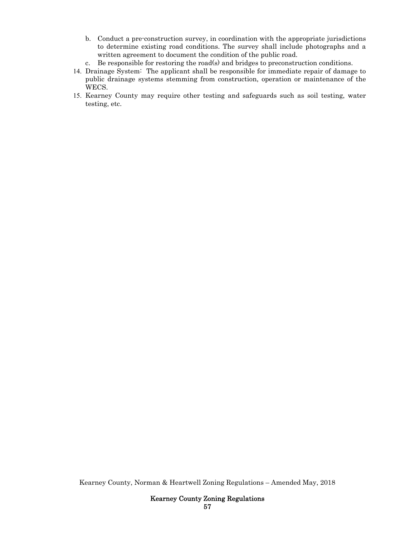- b. Conduct a pre-construction survey, in coordination with the appropriate jurisdictions to determine existing road conditions. The survey shall include photographs and a written agreement to document the condition of the public road.
- c. Be responsible for restoring the road(s) and bridges to preconstruction conditions.
- 14. Drainage System: The applicant shall be responsible for immediate repair of damage to public drainage systems stemming from construction, operation or maintenance of the WECS.
- 15. Kearney County may require other testing and safeguards such as soil testing, water testing, etc.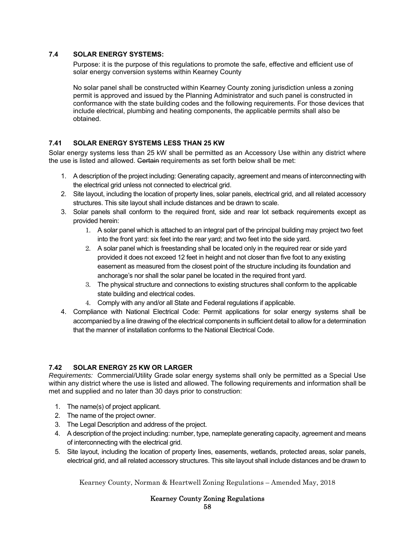## **7.4 SOLAR ENERGY SYSTEMS:**

Purpose: it is the purpose of this regulations to promote the safe, effective and efficient use of solar energy conversion systems within Kearney County

No solar panel shall be constructed within Kearney County zoning jurisdiction unless a zoning permit is approved and issued by the Planning Administrator and such panel is constructed in conformance with the state building codes and the following requirements. For those devices that include electrical, plumbing and heating components, the applicable permits shall also be obtained.

# **7.41 SOLAR ENERGY SYSTEMS LESS THAN 25 KW**

Solar energy systems less than 25 kW shall be permitted as an Accessory Use within any district where the use is listed and allowed. Certain requirements as set forth below shall be met:

- 1. A description of the project including: Generating capacity, agreement and means of interconnecting with the electrical grid unless not connected to electrical grid.
- 2. Site layout, including the location of property lines, solar panels, electrical grid, and all related accessory
- structures. This site layout shall include distances and be drawn to scale. 3. Solar panels shall conform to the required front, side and rear lot setback requirements except as provided herein:
	- 1. A solar panel which is attached to an integral part of the principal building may project two feet into the front yard: six feet into the rear yard; and two feet into the side yard.
	- 2. A solar panel which is freestanding shall be located only in the required rear or side yard provided it does not exceed 12 feet in height and not closer than five foot to any existing easement as measured from the closest point of the structure including its foundation and anchorage's nor shall the solar panel be located in the required front yard.
	- 3. The physical structure and connections to existing structures shall conform to the applicable state building and electrical codes.
	- 4. Comply with any and/or all State and Federal regulations if applicable.
- 4. Compliance with National Electrical Code: Permit applications for solar energy systems shall be accompanied by a line drawing of the electrical components in sufficient detail to allow for a determination that the manner of installation conforms to the National Electrical Code.

## **7.42 SOLAR ENERGY 25 KW OR LARGER**

*Requirements:* Commercial/Utility Grade solar energy systems shall only be permitted as a Special Use within any district where the use is listed and allowed. The following requirements and information shall be met and supplied and no later than 30 days prior to construction:

- 1. The name(s) of project applicant.
- 2. The name of the project owner.
- 3. The Legal Description and address of the project.
- 4. A description of the project including: number, type, nameplate generating capacity, agreement and means of interconnecting with the electrical grid.
- 5. Site layout, including the location of property lines, easements, wetlands, protected areas, solar panels, electrical grid, and all related accessory structures. This site layout shall include distances and be drawn to

Kearney County, Norman & Heartwell Zoning Regulations – Amended May, 2018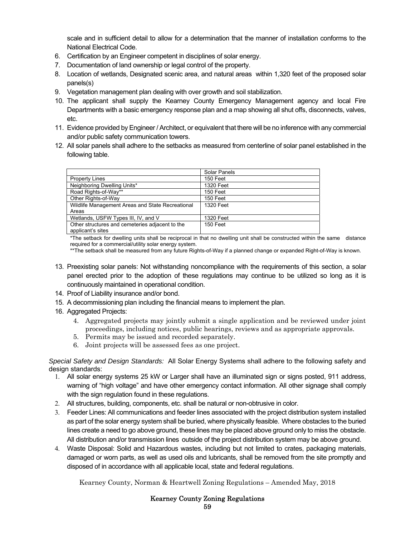scale and in sufficient detail to allow for a determination that the manner of installation conforms to the National Electrical Code.

- 6. Certification by an Engineer competent in disciplines of solar energy.
- 7. Documentation of land ownership or legal control of the property.
- 8. Location of wetlands, Designated scenic area, and natural areas within 1,320 feet of the proposed solar panels(s)
- 9. Vegetation management plan dealing with over growth and soil stabilization.
- 10. The applicant shall supply the Kearney County Emergency Management agency and local Fire Departments with a basic emergency response plan and a map showing all shut offs, disconnects, valves, etc.
- 11. Evidence provided by Engineer / Architect, or equivalent that there will be no inference with any commercial and/or public safety communication towers.
- 12. All solar panels shall adhere to the setbacks as measured from centerline of solar panel established in the following table.

|                                                  | Solar Panels    |
|--------------------------------------------------|-----------------|
| <b>Property Lines</b>                            | 150 Feet        |
| Neighboring Dwelling Units*                      | 1320 Feet       |
| Road Rights-of-Way**                             | 150 Feet        |
| Other Rights-of-Way                              | 150 Feet        |
| Wildlife Management Areas and State Recreational | 1320 Feet       |
| Areas                                            |                 |
| Wetlands, USFW Types III, IV, and V              | 1320 Feet       |
| Other structures and cemeteries adjacent to the  | <b>150 Feet</b> |
| applicant's sites                                |                 |

 \*The setback for dwelling units shall be reciprocal in that no dwelling unit shall be constructed within the same distance required for a commercial/utility solar energy system.

\*\*The setback shall be measured from any future Rights-of-Way if a planned change or expanded Right-of-Way is known.

- 13. Preexisting solar panels: Not withstanding noncompliance with the requirements of this section, a solar panel erected prior to the adoption of these regulations may continue to be utilized so long as it is continuously maintained in operational condition.
- 14. Proof of Liability insurance and/or bond.
- 15. A decommissioning plan including the financial means to implement the plan.
- 16. Aggregated Projects:
	- 4. Aggregated projects may jointly submit a single application and be reviewed under joint proceedings, including notices, public hearings, reviews and as appropriate approvals.
	- 5. Permits may be issued and recorded separately.
	- 6. Joint projects will be assessed fees as one project.

*Special Safety and Design Standards:* All Solar Energy Systems shall adhere to the following safety and design standards:

- 1. All solar energy systems 25 kW or Larger shall have an illuminated sign or signs posted, 911 address, warning of "high voltage" and have other emergency contact information. All other signage shall comply with the sign regulation found in these regulations.
- 2. All structures, building, components, etc. shall be natural or non-obtrusive in color.
- 3. Feeder Lines: All communications and feeder lines associated with the project distribution system installed as part of the solar energy system shall be buried, where physically feasible. Where obstacles to the buried lines create a need to go above ground, these lines may be placed above ground only to miss the obstacle. All distribution and/or transmission lines outside of the project distribution system may be above ground.
- 4. Waste Disposal: Solid and Hazardous wastes, including but not limited to crates, packaging materials, damaged or worn parts, as well as used oils and lubricants, shall be removed from the site promptly and disposed of in accordance with all applicable local, state and federal regulations.

Kearney County, Norman & Heartwell Zoning Regulations – Amended May, 2018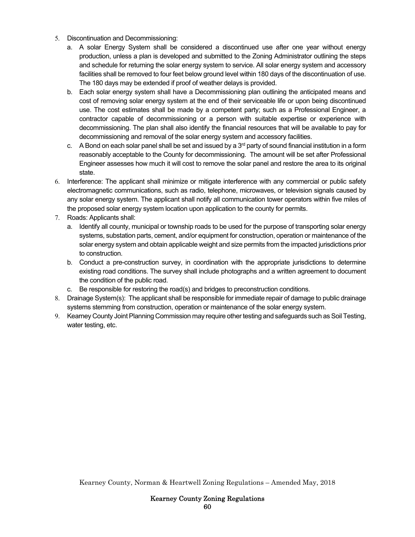- 5. Discontinuation and Decommissioning:
	- a. A solar Energy System shall be considered a discontinued use after one year without energy production, unless a plan is developed and submitted to the Zoning Administrator outlining the steps and schedule for returning the solar energy system to service. All solar energy system and accessory facilities shall be removed to four feet below ground level within 180 days of the discontinuation of use. The 180 days may be extended if proof of weather delays is provided.
	- b. Each solar energy system shall have a Decommissioning plan outlining the anticipated means and cost of removing solar energy system at the end of their serviceable life or upon being discontinued use. The cost estimates shall be made by a competent party; such as a Professional Engineer, a contractor capable of decommissioning or a person with suitable expertise or experience with decommissioning. The plan shall also identify the financial resources that will be available to pay for decommissioning and removal of the solar energy system and accessory facilities.
	- c. A Bond on each solar panel shall be set and issued by a  $3<sup>rd</sup>$  party of sound financial institution in a form reasonably acceptable to the County for decommissioning. The amount will be set after Professional Engineer assesses how much it will cost to remove the solar panel and restore the area to its original state.
- 6. Interference: The applicant shall minimize or mitigate interference with any commercial or public safety electromagnetic communications, such as radio, telephone, microwaves, or television signals caused by any solar energy system. The applicant shall notify all communication tower operators within five miles of the proposed solar energy system location upon application to the county for permits.
- 7. Roads: Applicants shall:
	- a. Identify all county, municipal or township roads to be used for the purpose of transporting solar energy systems, substation parts, cement, and/or equipment for construction, operation or maintenance of the solar energy system and obtain applicable weight and size permits from the impacted jurisdictions prior to construction.
	- b. Conduct a pre-construction survey, in coordination with the appropriate jurisdictions to determine existing road conditions. The survey shall include photographs and a written agreement to document the condition of the public road.
	- c. Be responsible for restoring the road(s) and bridges to preconstruction conditions.
- 8. Drainage System(s): The applicant shall be responsible for immediate repair of damage to public drainage systems stemming from construction, operation or maintenance of the solar energy system.
- 9. Kearney County Joint Planning Commission may require other testing and safeguards such as Soil Testing, water testing, etc.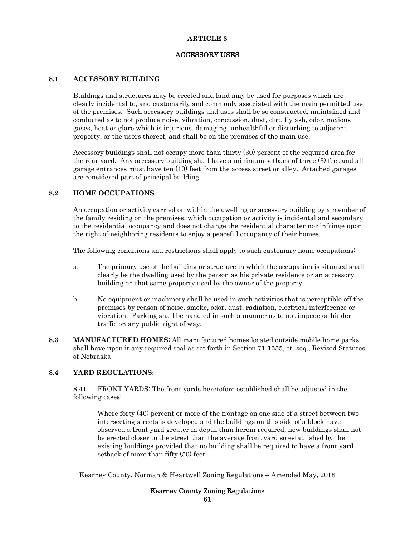## ACCESSORY USES

## **8.1 ACCESSORY BUILDING**

Buildings and structures may be erected and land may be used for purposes which are clearly incidental to, and customarily and commonly associated with the main permitted use of the premises. Such accessory buildings and uses shall be so constructed, maintained and conducted as to not produce noise, vibration, concussion, dust, dirt, fly ash, odor, noxious gases, heat or glare which is injurious, damaging, unhealthful or disturbing to adjacent property, or the users thereof, and shall be on the premises of the main use.

Accessory buildings shall not occupy more than thirty (30) percent of the required area for the rear yard. Any accessory building shall have a minimum setback of three (3) feet and all garage entrances must have ten (10) feet from the access street or alley. Attached garages are considered part of principal building.

### **8.2 HOME OCCUPATIONS**

An occupation or activity carried on within the dwelling or accessory building by a member of the family residing on the premises, which occupation or activity is incidental and secondary to the residential occupancy and does not change the residential character nor infringe upon the right of neighboring residents to enjoy a peaceful occupancy of their homes.

The following conditions and restrictions shall apply to such customary home occupations:

- a. The primary use of the building or structure in which the occupation is situated shall clearly be the dwelling used by the person as his private residence or an accessory building on that same property used by the owner of the property.
- b. No equipment or machinery shall be used in such activities that is perceptible off the premises by reason of noise, smoke, odor, dust, radiation, electrical interference or vibration. Parking shall be handled in such a manner as to not impede or hinder traffic on any public right of way.
- **8.3 MANUFACTURED HOMES**: All manufactured homes located outside mobile home parks shall have upon it any required seal as set forth in Section 71-1555, et. seq., Revised Statutes of Nebraska

## **8.4 YARD REGULATIONS:**

8.41 FRONT YARDS: The front yards heretofore established shall be adjusted in the following cases:

Where forty (40) percent or more of the frontage on one side of a street between two intersecting streets is developed and the buildings on this side of a block have observed a front yard greater in depth than herein required, new buildings shall not be erected closer to the street than the average front yard so established by the existing buildings provided that no building shall be required to have a front yard setback of more than fifty (50) feet.

Kearney County, Norman & Heartwell Zoning Regulations – Amended May, 2018

# Kearney County Zoning Regulations

61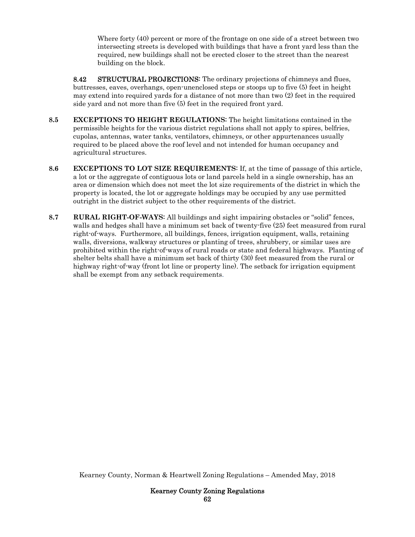Where forty (40) percent or more of the frontage on one side of a street between two intersecting streets is developed with buildings that have a front yard less than the required, new buildings shall not be erected closer to the street than the nearest building on the block.

8.42 STRUCTURAL PROJECTIONS: The ordinary projections of chimneys and flues, buttresses, eaves, overhangs, open-unenclosed steps or stoops up to five (5) feet in height may extend into required yards for a distance of not more than two (2) feet in the required side yard and not more than five (5) feet in the required front yard.

- **8.5 EXCEPTIONS TO HEIGHT REGULATIONS**: The height limitations contained in the permissible heights for the various district regulations shall not apply to spires, belfries, cupolas, antennas, water tanks, ventilators, chimneys, or other appurtenances usually required to be placed above the roof level and not intended for human occupancy and agricultural structures.
- **8.6 EXCEPTIONS TO LOT SIZE REQUIREMENTS**: If, at the time of passage of this article, a lot or the aggregate of contiguous lots or land parcels held in a single ownership, has an area or dimension which does not meet the lot size requirements of the district in which the property is located, the lot or aggregate holdings may be occupied by any use permitted outright in the district subject to the other requirements of the district.
- **8.7 RURAL RIGHT-OF-WAYS**: All buildings and sight impairing obstacles or "solid" fences, walls and hedges shall have a minimum set back of twenty-five (25) feet measured from rural right-of-ways. Furthermore, all buildings, fences, irrigation equipment, walls, retaining walls, diversions, walkway structures or planting of trees, shrubbery, or similar uses are prohibited within the right-of-ways of rural roads or state and federal highways. Planting of shelter belts shall have a minimum set back of thirty (30) feet measured from the rural or highway right-of-way (front lot line or property line). The setback for irrigation equipment shall be exempt from any setback requirements.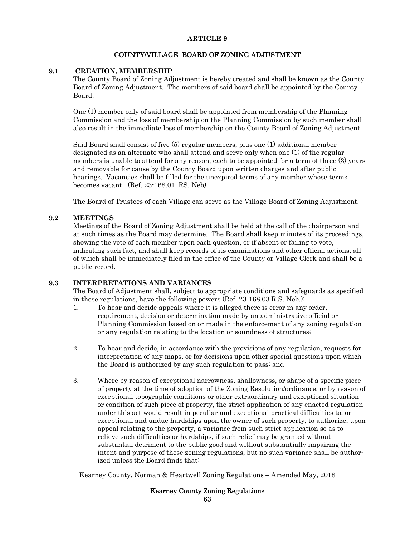## COUNTY/VILLAGE BOARD OF ZONING ADJUSTMENT

## **9.1 CREATION, MEMBERSHIP**

The County Board of Zoning Adjustment is hereby created and shall be known as the County Board of Zoning Adjustment. The members of said board shall be appointed by the County Board.

One (1) member only of said board shall be appointed from membership of the Planning Commission and the loss of membership on the Planning Commission by such member shall also result in the immediate loss of membership on the County Board of Zoning Adjustment.

Said Board shall consist of five (5) regular members, plus one (1) additional member designated as an alternate who shall attend and serve only when one (1) of the regular members is unable to attend for any reason, each to be appointed for a term of three (3) years and removable for cause by the County Board upon written charges and after public hearings. Vacancies shall be filled for the unexpired terms of any member whose terms becomes vacant. (Ref. 23-168.01 RS. Neb)

The Board of Trustees of each Village can serve as the Village Board of Zoning Adjustment.

### **9.2 MEETINGS**

Meetings of the Board of Zoning Adjustment shall be held at the call of the chairperson and at such times as the Board may determine. The Board shall keep minutes of its proceedings, showing the vote of each member upon each question, or if absent or failing to vote, indicating such fact, and shall keep records of its examinations and other official actions, all of which shall be immediately filed in the office of the County or Village Clerk and shall be a public record.

#### **9.3 INTERPRETATIONS AND VARIANCES**

The Board of Adjustment shall, subject to appropriate conditions and safeguards as specified in these regulations, have the following powers (Ref. 23-168.03 R.S. Neb.):

- 1. To hear and decide appeals where it is alleged there is error in any order, requirement, decision or determination made by an administrative official or Planning Commission based on or made in the enforcement of any zoning regulation or any regulation relating to the location or soundness of structures;
- 2. To hear and decide, in accordance with the provisions of any regulation, requests for interpretation of any maps, or for decisions upon other special questions upon which the Board is authorized by any such regulation to pass; and
- 3. Where by reason of exceptional narrowness, shallowness, or shape of a specific piece of property at the time of adoption of the Zoning Resolution/ordinance, or by reason of exceptional topographic conditions or other extraordinary and exceptional situation or condition of such piece of property, the strict application of any enacted regulation under this act would result in peculiar and exceptional practical difficulties to, or exceptional and undue hardships upon the owner of such property, to authorize, upon appeal relating to the property, a variance from such strict application so as to relieve such difficulties or hardships, if such relief may be granted without substantial detriment to the public good and without substantially impairing the intent and purpose of these zoning regulations, but no such variance shall be authorized unless the Board finds that:

Kearney County, Norman & Heartwell Zoning Regulations – Amended May, 2018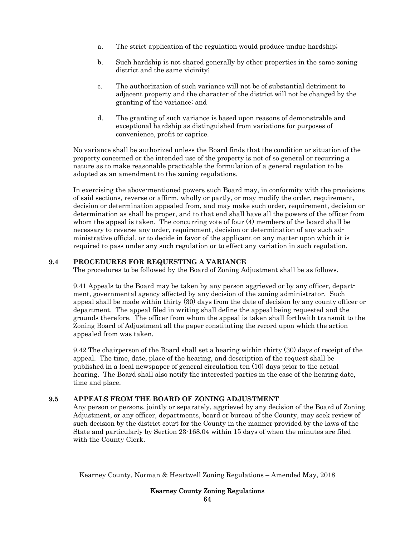- a. The strict application of the regulation would produce undue hardship;
- b. Such hardship is not shared generally by other properties in the same zoning district and the same vicinity;
- c. The authorization of such variance will not be of substantial detriment to adjacent property and the character of the district will not be changed by the granting of the variance; and
- d. The granting of such variance is based upon reasons of demonstrable and exceptional hardship as distinguished from variations for purposes of convenience, profit or caprice.

No variance shall be authorized unless the Board finds that the condition or situation of the property concerned or the intended use of the property is not of so general or recurring a nature as to make reasonable practicable the formulation of a general regulation to be adopted as an amendment to the zoning regulations.

In exercising the above-mentioned powers such Board may, in conformity with the provisions of said sections, reverse or affirm, wholly or partly, or may modify the order, requirement, decision or determination appealed from, and may make such order, requirement, decision or determination as shall be proper, and to that end shall have all the powers of the officer from whom the appeal is taken. The concurring vote of four (4) members of the board shall be necessary to reverse any order, requirement, decision or determination of any such administrative official, or to decide in favor of the applicant on any matter upon which it is required to pass under any such regulation or to effect any variation in such regulation.

### **9.4 PROCEDURES FOR REQUESTING A VARIANCE**

The procedures to be followed by the Board of Zoning Adjustment shall be as follows.

9.41 Appeals to the Board may be taken by any person aggrieved or by any officer, department, governmental agency affected by any decision of the zoning administrator. Such appeal shall be made within thirty (30) days from the date of decision by any county officer or department. The appeal filed in writing shall define the appeal being requested and the grounds therefore. The officer from whom the appeal is taken shall forthwith transmit to the Zoning Board of Adjustment all the paper constituting the record upon which the action appealed from was taken.

9.42 The chairperson of the Board shall set a hearing within thirty (30) days of receipt of the appeal. The time, date, place of the hearing, and description of the request shall be published in a local newspaper of general circulation ten (10) days prior to the actual hearing. The Board shall also notify the interested parties in the case of the hearing date, time and place.

## **9.5 APPEALS FROM THE BOARD OF ZONING ADJUSTMENT**

Any person or persons, jointly or separately, aggrieved by any decision of the Board of Zoning Adjustment, or any officer, departments, board or bureau of the County, may seek review of such decision by the district court for the County in the manner provided by the laws of the State and particularly by Section 23-168.04 within 15 days of when the minutes are filed with the County Clerk.

Kearney County, Norman & Heartwell Zoning Regulations – Amended May, 2018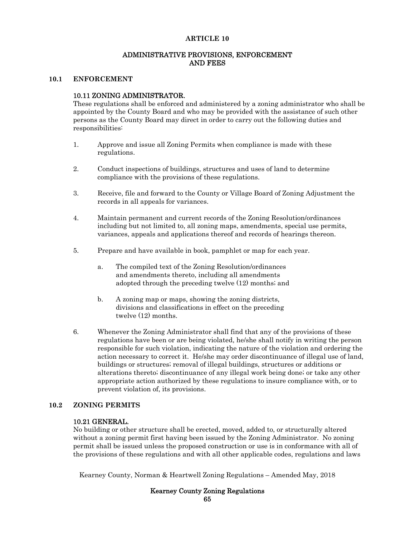#### ADMINISTRATIVE PROVISIONS, ENFORCEMENT AND FEES

#### **10.1 ENFORCEMENT**

#### 10.11 ZONING ADMINISTRATOR.

These regulations shall be enforced and administered by a zoning administrator who shall be appointed by the County Board and who may be provided with the assistance of such other persons as the County Board may direct in order to carry out the following duties and responsibilities:

- 1. Approve and issue all Zoning Permits when compliance is made with these regulations.
- 2. Conduct inspections of buildings, structures and uses of land to determine compliance with the provisions of these regulations.
- 3. Receive, file and forward to the County or Village Board of Zoning Adjustment the records in all appeals for variances.
- 4. Maintain permanent and current records of the Zoning Resolution/ordinances including but not limited to, all zoning maps, amendments, special use permits, variances, appeals and applications thereof and records of hearings thereon.
- 5. Prepare and have available in book, pamphlet or map for each year.
	- a. The compiled text of the Zoning Resolution/ordinances and amendments thereto, including all amendments adopted through the preceding twelve (12) months; and
	- b. A zoning map or maps, showing the zoning districts, divisions and classifications in effect on the preceding twelve (12) months.
- 6. Whenever the Zoning Administrator shall find that any of the provisions of these regulations have been or are being violated, he/she shall notify in writing the person responsible for such violation, indicating the nature of the violation and ordering the action necessary to correct it. He/she may order discontinuance of illegal use of land, buildings or structures; removal of illegal buildings, structures or additions or alterations thereto; discontinuance of any illegal work being done; or take any other appropriate action authorized by these regulations to insure compliance with, or to prevent violation of, its provisions.

#### **10.2 ZONING PERMITS**

#### 10.21 GENERAL.

No building or other structure shall be erected, moved, added to, or structurally altered without a zoning permit first having been issued by the Zoning Administrator. No zoning permit shall be issued unless the proposed construction or use is in conformance with all of the provisions of these regulations and with all other applicable codes, regulations and laws

Kearney County, Norman & Heartwell Zoning Regulations – Amended May, 2018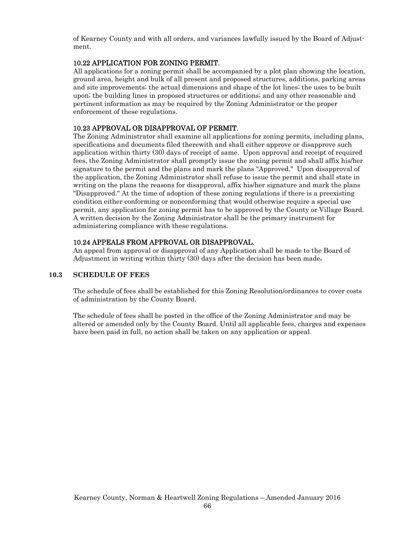of Kearney County and with all orders, and variances lawfully issued by the Board of Adjustment.

## 10.22 APPLICATION FOR ZONING PERMIT.

All applications for a zoning permit shall be accompanied by a plot plan showing the location, ground area, height and bulk of all present and proposed structures, additions, parking areas and site improvements; the actual dimensions and shape of the lot lines; the uses to be built upon; the building lines in proposed structures or additions; and any other reasonable and pertinent information as may be required by the Zoning Administrator or the proper enforcement of these regulations.

## 10.23 APPROVAL OR DISAPPROVAL OF PERMIT.

The Zoning Administrator shall examine all applications for zoning permits, including plans, specifications and documents filed therewith and shall either approve or disapprove such application within thirty (30) days of receipt of same. Upon approval and receipt of required fees, the Zoning Administrator shall promptly issue the zoning permit and shall affix his/her signature to the permit and the plans and mark the plans "Approved." Upon disapproval of the application, the Zoning Administrator shall refuse to issue the permit and shall state in writing on the plans the reasons for disapproval, affix his/her signature and mark the plans "Disapproved." At the time of adoption of these zoning regulations if there is a preexisting condition either conforming or nonconforming that would otherwise require a special use permit, any application for zoning permit has to be approved by the County or Village Board. A written decision by the Zoning Administrator shall be the primary instrument for administering compliance with these regulations.

## 10.24 APPEALS FROM APPROVAL OR DISAPPROVAL.

An appeal from approval or disapproval of any Application shall be made to the Board of Adjustment in writing within thirty (30) days after the decision has been made.

## **10.3 SCHEDULE OF FEES**

The schedule of fees shall be established for this Zoning Resolution/ordinances to cover costs of administration by the County Board.

The schedule of fees shall be posted in the office of the Zoning Administrator and may be altered or amended only by the County Board. Until all applicable fees, charges and expenses have been paid in full, no action shall be taken on any application or appeal.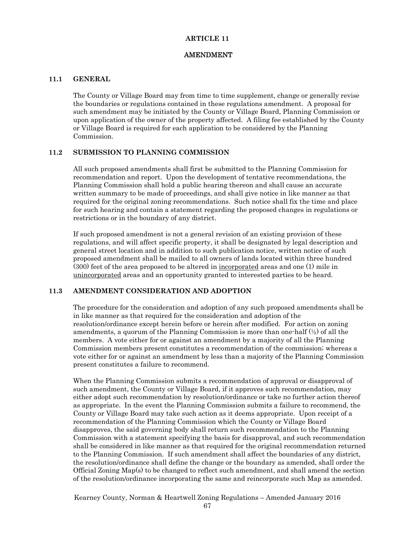#### AMENDMENT

#### **11.1 GENERAL**

The County or Village Board may from time to time supplement, change or generally revise the boundaries or regulations contained in these regulations amendment. A proposal for such amendment may be initiated by the County or Village Board, Planning Commission or upon application of the owner of the property affected. A filing fee established by the County or Village Board is required for each application to be considered by the Planning Commission.

#### **11.2 SUBMISSION TO PLANNING COMMISSION**

All such proposed amendments shall first be submitted to the Planning Commission for recommendation and report. Upon the development of tentative recommendations, the Planning Commission shall hold a public hearing thereon and shall cause an accurate written summary to be made of proceedings, and shall give notice in like manner as that required for the original zoning recommendations. Such notice shall fix the time and place for such hearing and contain a statement regarding the proposed changes in regulations or restrictions or in the boundary of any district.

If such proposed amendment is not a general revision of an existing provision of these regulations, and will affect specific property, it shall be designated by legal description and general street location and in addition to such publication notice, written notice of such proposed amendment shall be mailed to all owners of lands located within three hundred (300) feet of the area proposed to be altered in incorporated areas and one (1) mile in unincorporated areas and an opportunity granted to interested parties to be heard.

### **11.3 AMENDMENT CONSIDERATION AND ADOPTION**

The procedure for the consideration and adoption of any such proposed amendments shall be in like manner as that required for the consideration and adoption of the resolution/ordinance except herein before or herein after modified. For action on zoning amendments, a quorum of the Planning Commission is more than one-half  $(\frac{1}{2})$  of all the members. A vote either for or against an amendment by a majority of all the Planning Commission members present constitutes a recommendation of the commission; whereas a vote either for or against an amendment by less than a majority of the Planning Commission present constitutes a failure to recommend.

When the Planning Commission submits a recommendation of approval or disapproval of such amendment, the County or Village Board, if it approves such recommendation, may either adopt such recommendation by resolution/ordinance or take no further action thereof as appropriate. In the event the Planning Commission submits a failure to recommend, the County or Village Board may take such action as it deems appropriate. Upon receipt of a recommendation of the Planning Commission which the County or Village Board disapproves, the said governing body shall return such recommendation to the Planning Commission with a statement specifying the basis for disapproval, and such recommendation shall be considered in like manner as that required for the original recommendation returned to the Planning Commission. If such amendment shall affect the boundaries of any district, the resolution/ordinance shall define the change or the boundary as amended, shall order the Official Zoning Map(s) to be changed to reflect such amendment, and shall amend the section of the resolution/ordinance incorporating the same and reincorporate such Map as amended.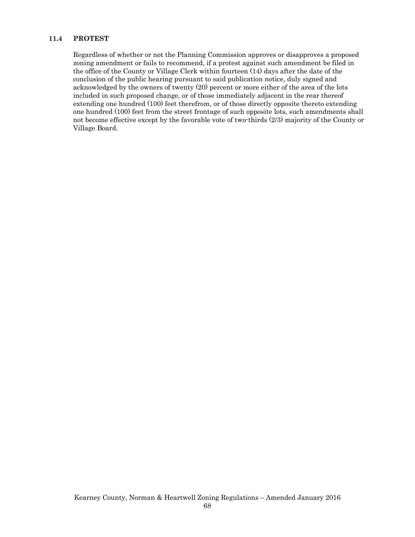## **11.4 PROTEST**

Regardless of whether or not the Planning Commission approves or disapproves a proposed zoning amendment or fails to recommend, if a protest against such amendment be filed in the office of the County or Village Clerk within fourteen (14) days after the date of the conclusion of the public hearing pursuant to said publication notice, duly signed and acknowledged by the owners of twenty (20) percent or more either of the area of the lots included in such proposed change, or of those immediately adjacent in the rear thereof extending one hundred (100) feet therefrom, or of those directly opposite thereto extending one hundred (100) feet from the street frontage of such opposite lots, such amendments shall not become effective except by the favorable vote of two-thirds (2/3) majority of the County or Village Board.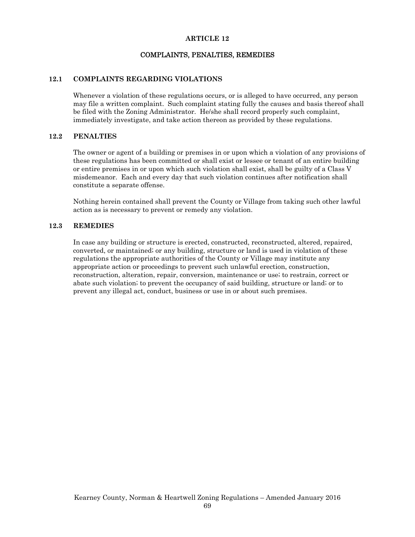## COMPLAINTS, PENALTIES, REMEDIES

#### **12.1 COMPLAINTS REGARDING VIOLATIONS**

Whenever a violation of these regulations occurs, or is alleged to have occurred, any person may file a written complaint. Such complaint stating fully the causes and basis thereof shall be filed with the Zoning Administrator. He/she shall record properly such complaint, immediately investigate, and take action thereon as provided by these regulations.

#### **12.2 PENALTIES**

The owner or agent of a building or premises in or upon which a violation of any provisions of these regulations has been committed or shall exist or lessee or tenant of an entire building or entire premises in or upon which such violation shall exist, shall be guilty of a Class V misdemeanor. Each and every day that such violation continues after notification shall constitute a separate offense.

Nothing herein contained shall prevent the County or Village from taking such other lawful action as is necessary to prevent or remedy any violation.

#### **12.3 REMEDIES**

In case any building or structure is erected, constructed, reconstructed, altered, repaired, converted, or maintained; or any building, structure or land is used in violation of these regulations the appropriate authorities of the County or Village may institute any appropriate action or proceedings to prevent such unlawful erection, construction, reconstruction, alteration, repair, conversion, maintenance or use; to restrain, correct or abate such violation; to prevent the occupancy of said building, structure or land; or to prevent any illegal act, conduct, business or use in or about such premises.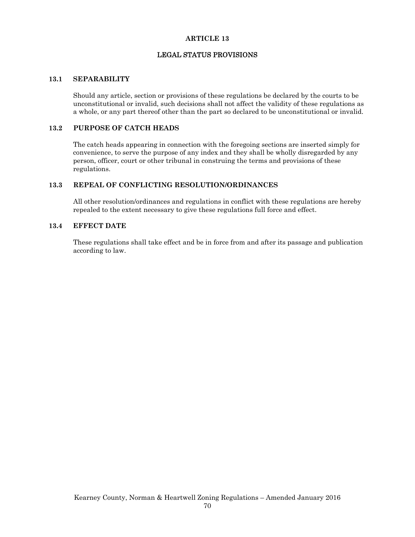## LEGAL STATUS PROVISIONS

#### **13.1 SEPARABILITY**

Should any article, section or provisions of these regulations be declared by the courts to be unconstitutional or invalid, such decisions shall not affect the validity of these regulations as a whole, or any part thereof other than the part so declared to be unconstitutional or invalid.

## **13.2 PURPOSE OF CATCH HEADS**

The catch heads appearing in connection with the foregoing sections are inserted simply for convenience, to serve the purpose of any index and they shall be wholly disregarded by any person, officer, court or other tribunal in construing the terms and provisions of these regulations.

### **13.3 REPEAL OF CONFLICTING RESOLUTION/ORDINANCES**

All other resolution/ordinances and regulations in conflict with these regulations are hereby repealed to the extent necessary to give these regulations full force and effect.

### **13.4 EFFECT DATE**

These regulations shall take effect and be in force from and after its passage and publication according to law.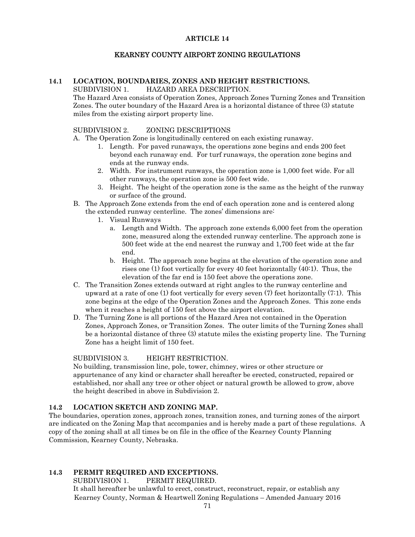## KEARNEY COUNTY AIRPORT ZONING REGULATIONS

#### **14.1 LOCATION, BOUNDARIES, ZONES AND HEIGHT RESTRICTIONS.**  SUBDIVISION 1. HAZARD AREA DESCRIPTION.

The Hazard Area consists of Operation Zones, Approach Zones Turning Zones and Transition Zones. The outer boundary of the Hazard Area is a horizontal distance of three (3) statute miles from the existing airport property line.

#### SUBDIVISION 2. ZONING DESCRIPTIONS

- A. The Operation Zone is longitudinally centered on each existing runaway.
	- 1. Length. For paved runaways, the operations zone begins and ends 200 feet beyond each runaway end. For turf runaways, the operation zone begins and ends at the runway ends.
	- 2. Width. For instrument runways, the operation zone is 1,000 feet wide. For all other runways, the operation zone is 500 feet wide.
	- 3. Height. The height of the operation zone is the same as the height of the runway or surface of the ground.
- B. The Approach Zone extends from the end of each operation zone and is centered along the extended runway centerline. The zones' dimensions are:
	- 1. Visual Runways
		- a. Length and Width. The approach zone extends 6,000 feet from the operation zone, measured along the extended runway centerline. The approach zone is 500 feet wide at the end nearest the runway and 1,700 feet wide at the far end.
		- b. Height. The approach zone begins at the elevation of the operation zone and rises one (1) foot vertically for every 40 feet horizontally (40:1). Thus, the elevation of the far end is 150 feet above the operations zone.
- C. The Transition Zones extends outward at right angles to the runway centerline and upward at a rate of one (1) foot vertically for every seven (7) feet horizontally (7:1). This zone begins at the edge of the Operation Zones and the Approach Zones. This zone ends when it reaches a height of 150 feet above the airport elevation.
- D. The Turning Zone is all portions of the Hazard Area not contained in the Operation Zones, Approach Zones, or Transition Zones. The outer limits of the Turning Zones shall be a horizontal distance of three (3) statute miles the existing property line. The Turning Zone has a height limit of 150 feet.

## SUBDIVISION 3. HEIGHT RESTRICTION.

No building, transmission line, pole, tower, chimney, wires or other structure or appurtenance of any kind or character shall hereafter be erected, constructed, repaired or established, nor shall any tree or other object or natural growth be allowed to grow, above the height described in above in Subdivision 2.

### **14.2 LOCATION SKETCH AND ZONING MAP.**

The boundaries, operation zones, approach zones, transition zones, and turning zones of the airport are indicated on the Zoning Map that accompanies and is hereby made a part of these regulations. A copy of the zoning shall at all times be on file in the office of the Kearney County Planning Commission, Kearney County, Nebraska.

## **14.3 PERMIT REQUIRED AND EXCEPTIONS.**

SUBDIVISION 1. PERMIT REQUIRED.

Kearney County, Norman & Heartwell Zoning Regulations – Amended January 2016 It shall hereafter be unlawful to erect, construct, reconstruct, repair, or establish any